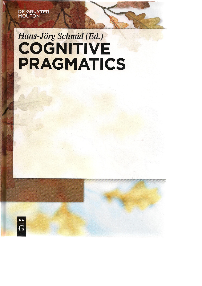# Hans-Jörg Schmid (Ed.) COGNITIVE **PRAGMATICS**

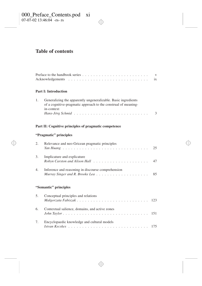# **Table of contents**

 $\bigoplus$ 

# **Part I: Introduction**

| Generalizing the apparently ungeneralizable. Basic ingredients |               |  |  |  |  |  |  |
|----------------------------------------------------------------|---------------|--|--|--|--|--|--|
| of a cognitive-pragmatic approach to the construal of meaning- |               |  |  |  |  |  |  |
| in-context                                                     |               |  |  |  |  |  |  |
|                                                                | $\mathcal{R}$ |  |  |  |  |  |  |

# **Part II: Cognitive principles of pragmatic competence**

# **"Pragmatic" principles**

⊕

| 2. | Relevance and neo-Gricean pragmatic principles<br>Yan Huang $\ldots \ldots \ldots \ldots \ldots \ldots \ldots \ldots \ldots \ldots \ldots$ | 25 |
|----|--------------------------------------------------------------------------------------------------------------------------------------------|----|
| 3. | Implicature and explicature                                                                                                                |    |
| 4. | Inference and reasoning in discourse comprehension                                                                                         |    |
|    | "Semantic" principles                                                                                                                      |    |

 $\oplus$ 

|    | Conceptual principles and relations                                                                                                              |  |
|----|--------------------------------------------------------------------------------------------------------------------------------------------------|--|
| 6. | Contextual salience, domains, and active zones                                                                                                   |  |
|    | Encyclopaedic knowledge and cultural models<br>Istvan Kecskes $\ldots \ldots \ldots \ldots \ldots \ldots \ldots \ldots \ldots \ldots \ldots 175$ |  |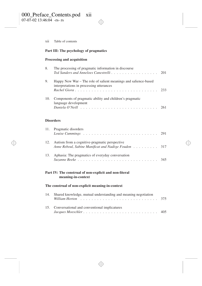# xii Table of contents

# **Part III: The psychology of pragmatics**

# **Processing and acquisition**

| 8.  | The processing of pragmatic information in discourse                                                                                                                            |  |
|-----|---------------------------------------------------------------------------------------------------------------------------------------------------------------------------------|--|
| 9.  | Happy New War – The role of salient meanings and salience-based<br>interpretations in processing utterances                                                                     |  |
| 10. | Components of pragmatic ability and children's pragmatic<br>language development<br>Daniela O'Neill $\ldots \ldots \ldots \ldots \ldots \ldots \ldots \ldots \ldots \ldots 261$ |  |

 $\bigoplus$ 

#### **Disorders**

 $\oplus$ 

|     | Part IV: The construal of non-explicit and non-literal<br>meaning-in-context                             |     |
|-----|----------------------------------------------------------------------------------------------------------|-----|
| 13. | Aphasia: The pragmatics of everyday conversation<br>Suzanne Beeke                                        | 345 |
|     | 12. Autism from a cognitive-pragmatic perspective<br>Anne Reboul, Sabine Manificat and Nadège Foudon 317 |     |
|     | 11. Pragmatic disorders                                                                                  |     |

 $\oplus$ 

# **The construal of non-explicit meaning-in-context**

| 14. Shared knowledge, mutual understanding and meaning negotiation                            |  |  |  |  |
|-----------------------------------------------------------------------------------------------|--|--|--|--|
| William Horton $\ldots \ldots \ldots \ldots \ldots \ldots \ldots \ldots \ldots \ldots \ldots$ |  |  |  |  |
| 15. Conversational and conventional implicatures                                              |  |  |  |  |
|                                                                                               |  |  |  |  |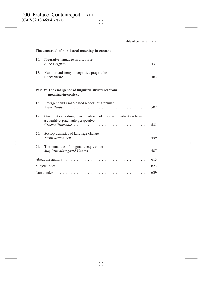$\bigoplus$ 

|     | Table of contents                                                                                                                                                                                      | xiii |  |  |  |
|-----|--------------------------------------------------------------------------------------------------------------------------------------------------------------------------------------------------------|------|--|--|--|
|     | The construal of non-literal meaning-in-context                                                                                                                                                        |      |  |  |  |
| 16. | Figurative language in discourse                                                                                                                                                                       | 437  |  |  |  |
| 17. | Humour and irony in cognitive pragmatics                                                                                                                                                               | 463  |  |  |  |
|     | Part V: The emergence of linguistic structures from<br>meaning-in-context                                                                                                                              |      |  |  |  |
| 18. | Emergent and usage-based models of grammar                                                                                                                                                             | 507  |  |  |  |
| 19. | Grammaticalization, lexicalization and constructionalization from<br>a cognitive-pragmatic perspective<br>Graeme Trousdale $\ldots \ldots \ldots \ldots \ldots \ldots \ldots \ldots \ldots \ldots$ 533 |      |  |  |  |
| 20. | Sociopragmatics of language change<br>Terttu Nevalainen (a.g. a.g.) alternationale alternationale alternationale alternationale alternationale alter                                                   | 559  |  |  |  |
| 21. | The semantics of pragmatic expressions                                                                                                                                                                 | 587  |  |  |  |
|     |                                                                                                                                                                                                        | 613  |  |  |  |
| 623 |                                                                                                                                                                                                        |      |  |  |  |
| 639 |                                                                                                                                                                                                        |      |  |  |  |

 $\bigoplus$ 

 $\bigoplus$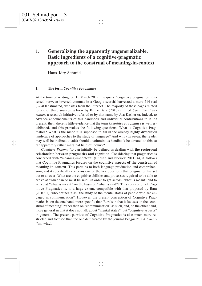# **1. Generalizing the apparently ungeneralizable. Basic ingredients of a cognitive-pragmatic approach to the construal of meaning-in-context**

Hans-Jörg Schmid

#### **1. The term** *Cognitive Pragmatics*

At the time of writing, on 15 March 2012, the query "cognitive pragmatics" (inserted between inverted commas in a Google search) harvested a mere 714 real (37,400 estimated) websites from the Internet. The majority of these pages related to one of three sources: a book by Bruno Bara (2010) entitled *Cognitive Pragmatics*, a research initiative referred to by that name by Asa Kasher or, indeed, to advance announcements of this handbook and individual contributions to it. At present, then, there is little evidence that the term *Cognitive Pragmatics* is well established, and this provokes the following questions: What is Cognitive Pragmatics? What is the niche it is supposed to fill in the already highly diversified landscape of approaches to the study of language? And why (*on earth*, the reader may well be inclined to add) should a voluminous handbook be devoted to this so far apparently rather marginal field of inquiry?

*Cognitive Pragmatics* can initially be defined as dealing with **the reciprocal relationship between pragmatics and cognition**. Considering that pragmatics is concerned with "meaning-in-context" (Bublitz and Norrick 2011: 4), it follows that Cognitive Pragmatics focuses on the **cognitive aspects of the construal of meaning-in-context**. This pertains to both language production and comprehension, and it specifically concerns one of the key questions that pragmatics has set out to answer: What are the cognitive abilities and processes required to be able to arrive at "what can or must be said" in order to get across "what is meant" and to arrive at "what is meant" on the basis of "what is said"? This conception of Cognitive Pragmatics is, to a large extent, compatible with that proposed by Bara (2010: 1), who defines it as "the study of the mental states of people who are engaged in communication". However, the present conception of Cognitive Pragmatics is, on the one hand, more specific than Bara's in that it focuses on the "construal of meaning" rather than on "communication" as such, and, on the other hand, more general in that it does not talk about "mental states", but "cognitive aspects" in general. The present purview of Cognitive Pragmatics is also much more restricted and focused than the one demarcated by the journal *Pragmatics & Cognition*, which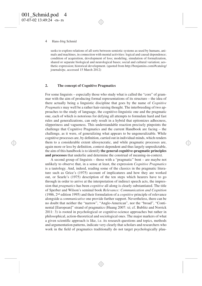#### 4 Hans-Jörg Schmid

seeks to explore relations of all sorts between semiotic systems as used by humans, animals and machines, in connection with mental activities: logical and causal dependence; condition of acquisition, development of loss; modeling, simulation of formalization, shared or separate biological and neurological bases; social and cultural variation; aesthetic expression; historical development. (quoted from http://benjamins.com/#catalog/ journals/pc, accessed 15 March 2012)

#### **2. The concept of Cognitive Pragmatics**

For some linguists – especially those who study what is called the "core" of grammar with the aim of producing formal representations of its structure – the idea of there actually being a linguistic discipline that goes by the name of *Cognitive Pragmatics* may well be a rather hair-raising thought. The interbreeding of two approaches to the study of language, the cognitive-linguistic one and the pragmatic one, each of which is notorious for defying all attempts to formulate hard and fast rules and generalizations, can only result in a hybrid that epitomizes adhocness, slipperiness and vagueness. This understandable reaction precisely pinpoints the challenge that Cognitive Pragmatics and the current Handbook are facing – the challenge, as it were, of generalizing what appears to be ungeneralizable. While cognitive processes are, by definition, carried out in individual minds, which renders them to a considerable extent idiosyncratic, and while pragmatic processes are, again more or less by definition, context-dependent and thus largely unpredictable, the aim of this handbook is to identify **the general cognitive-pragmatic principles and processes** that underlie and determine the construal of meaning-in-context.

A second group of linguists – those with a "pragmatic" bent – are maybe not unlikely to observe that, in a sense at least, the expression *Cognitive Pragmatics* is a tautology. And, indeed, reading some of the classics in the pragmatic literature such as Grice's (1975) account of implicatures and how they are worked out, or Searle's (1975) description of the ten steps which hearers have to go through in order to arrive at the interpretation of indirect speech acts, the impression that *pragmatics* has been *cognitive* all along is clearly substantiated. The title of Sperber and Wilson's seminal book *Relevance: Communication and Cognition* (1986, 2nd edition 1995) and their formulation of a *cognitive* principle of relevance alongside a *communicative* one provide further support. Nevertheless, there can be no doubt that neither the "narrow", "Anglo-American", nor the "broad", "Continental [European]" strand of pragmatics (Huang 2007: xi; cf. Bublitz and Norrick 2011: 3) is rooted in psychological or cognitive-science approaches but rather in philosophical, action-theoretical and sociological ones. The major markers of what a given scientific approach is like, i.e. its research questions and topics, methods and argumentation patterns, indicate very clearly that scholars and researchers who work in the field of pragmatics traditionally do not target psychologically plau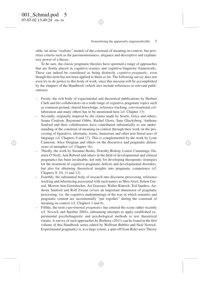Generalizing the apparently ungeneralizable 5

sible, let alone "realistic" models of the construal of meaning-in-context, but prioritize criteria such as the parsimoniousness, elegance and descriptive and explanatory power of a theory.

To be sure, the classic pragmatic theories have spawned a range of approaches that are firmly placed in cognitive-science and cognitive-linguistic frameworks. These can indeed be considered as being distinctly *cognitive-pragmatic*, even though this term has not been applied to them so far. The following survey does not even try to do justice to this body of work, since this mission will be accomplished by the chapters of the Handbook (which also include references to relevant publications):

- Firstly, the rich body of experimental and theoretical publications by Herbert Clark and his collaborators on a wide range of cognitive-pragmatic topics such as common ground, shared knowledge, reference tracking, conversational collaboration and many others has to be mentioned here (cf. Chapter 13).
- Secondly, originally inspired by the claims made by Searle, Grice and others, Seana Coulson, Raymond Gibbs, Rachel Giora, Sam Glucksberg, Anthony Sanford and their collaborators have contributed substantially to our understanding of the construal of meaning-in-context through their work on the processing of figurative, idiomatic, ironic, humorous and other non-literal uses of language (cf. Chapters 9 and 17). This is complemented by the work by Lynn Cameron, Alice Deignan and others on the discursive and pragmatic dimensions of metaphor (cf. Chapter 16).
- Thirdly, the work by Suzanne Beeke, Dorothy Bishop, Louise Cummings, Daniela O'Neill, Ann Reboul and others in the field of developmental and clinical pragmatics has been invaluable, not only for developing therapeutic strategies for the treatment of cognitive-pragmatic deficits and developmental disorders, but also for obtaining theoretical insights into pragmatic competence (cf. Chapters 9, 10, 11 and 12).
- Fourthly, the substantial body of research into discourse processing, reference tracking and inferencing associated with such names as Mira Ariel, Simon Garrod, Morton Ann Gernsbacher, Art Graesser, Walter Kintsch, Ted Sanders, Anthony Sanford and Rolf Zwaan covers an important dimension of pragmatic processing, viz. the cognitive underpinnings of the way in which semantic and pragmatic content are incrementally "put together" during the construal of meaning-in-context (cf. Chapters 3 and 8).
- Fifthly, the term *experimental pragmatics* has entered the scene rather recently (cf. Noveck and Sperber 2004), subsuming attempts to apply established experimental psycholinguistic and psychological methods to test theoretical claims. A survey of such approaches by Breheny (2011) can be found in the first volume of this Handbook series edited by Wolfram Bublitz and Neal Norrick. Experimental pragmatics is, to a large extent, a spin-off from Relevance Theory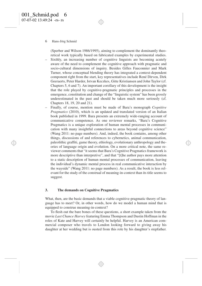#### 6 Hans-Jörg Schmid

(Sperber and Wilson 1986/1995), aiming to complement the dominantly theoretical work typically based on fabricated examples by experimental studies. Sixthly, an increasing number of cognitive linguists are becoming acutely

- aware of the need to complement the cognitive approach with pragmatic and socio-cultural dimensions of inquiry. Besides Gilles Fauconnier and Mark Turner, whose conceptual blending theory has integrated a context-dependent component right from the start, key representatives include René Dirven, Dirk Geeraerts, Peter Harder, Istvan Keczkes, Gitte Kristiansen and John Taylor (cf. Chapters 5, 6 and 7). An important corollary of this development is the insight that the role played by cognitive-pragmatic principles and processes in the emergence, constitution and change of the "linguistic system" has been grossly underestimated in the past and should be taken much more seriously (cf. Chapters 18, 19, 20 and 21).
- Finally, of course, mention must be made of Bara's monograph *Cognitive Pragmatics* (2010), which is an updated and translated version of an Italian book published in 1999. Bara presents an extremely wide-ranging account of communicative competence. As one reviewer remarks, "Bara's Cognitive Pragmatics is a unique exploration of human mental processes in communication with many insightful connections to areas beyond cognitive science" (Wang 2011: no page numbers). And, indeed, the book contains, among other things, discussions of and references to cybernetics, animal communication, paleolithic graffiti, game theory, ethiology, evolutionary anthropology and theories of language origin and evolution. On a more critical note, the same reviewer comments that "it seems that Bara's Cognitive Pragmatics framework is more descriptive than interpretive", and that "[t]he author pays more attention to a static description of human mental processes of communication, leaving the individual's dynamic mental process in real communicative interaction by the wayside" (Wang 2011: no page numbers). As a result, the book is less relevant for the study of the construal of meaning-in-context than its title seems to suggest.

#### **3. The demands on Cognitive Pragmatics**

What, then, are the basic demands that a viable cognitive-pragmatic theory of language has to meet? Or, in other words, how do we model a human mind that is equipped to construe meaning-in-context?

To flesh out the bare bones of these questions, a short example taken from the movie *Last Chance Harvey* featuring Emma Thompson and Dustin Hoffman in the roles of Kate and Harvey will certainly be helpful. Harvey is an American commercial composer who travels to London looking forward to giving away his daughter at her wedding but is ousted from this role by his daughter's stepfather.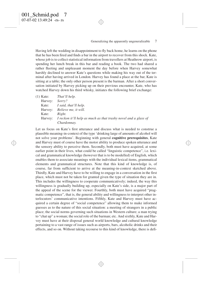Generalizing the apparently ungeneralizable 7

Having left the wedding in disappointment to fly back home, he learns on the phone that he has been fired and finds a bar in the airport to recover from this shock. Kate, whose job is to collect statistical information from travellers at Heathrow airport, is spending her lunch break in this bar and reading a book. The two had shared a rather fleeting and unpleasant moment the day before when Harvey somewhat harshly declined to answer Kate's questions while making his way out of the terminal after having arrived in London. Harvey has found a place at the bar, Kate is sitting at a table; the only other person present is the barman. After a short conversation initiated by Harvey picking up on their previous encounter, Kate, who has watched Harvey down his third whisky, initiates the following brief exchange:

(1) Kate: *That'll help.* Harvey: *Sorry?* Kate: *I said, that'll help.* Harvey: *Believe me, it will.* Kate: *Right.* Harvey: *I reckon it'll help as much as that trashy novel and a glass of Chardonnay.*

Let us focus on Kate's first utterance and discuss what is needed to construe a plausible meaning-in-context of the type 'drinking large of amounts of alcohol will not solve your problems'. Beginning with general **cognitive prerequisites**, Kate and Harvey must of course have the motor ability to produce spoken utterance and the sensory ability to perceive them. Secondly, both must have acquired, at some earlier point in their lives, what could be called "linguistic competence", i.e. lexical and grammatical knowledge (however that is to be modelled) of English, which enables them to associate meanings with the individual lexical items, grammatical elements and grammatical structures. Note that this kind of knowledge is, of course, far from sufficient to arrive at the meaning-in-context sketched above. Thirdly, Kate and Harvey have to be willing to engage in a conversation in the first place, which must not be taken for granted given the type of situation they are in. This includes the willingness to cooperate communicatively; indeed, the way this willingness is gradually building up, especially on Kate's side, is a major part of the appeal of the scene for the viewer. Fourthly, both must have acquired "pragmatic competence", that is, the general ability and willingness to interpret other interlocutors' communicative intentions. Fifthly, Kate and Harvey must have acquired a certain degree of "social competence" allowing them to make informed guesses as to the nature of this social situation: a meeting of strangers in a public place; the social norms governing such situations in Western culture; a man trying to "chat up" a woman; the social role of the barman; etc. And sixthly, Kate and Harvey must have at their disposal general world knowledge and cultural knowledge pertaining to a vast range of issues such as airports, bars, alcoholic drinks and their effects, and so on. Without taking recourse to this kind of knowledge, there is defi-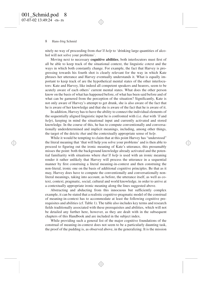#### 8 Hans-Jörg Schmid

nitely no way of proceeding from *that'll help* to 'drinking large quantities of alcohol will not solve your problems'.

Moving next to necessary **cognitive abilities**, both interlocutors must first of all be able to keep track of the situational context, the linguistic cotext and the ways in which both constantly change. For example, the fact that Harvey is progressing towards his fourth shot is clearly relevant for the way in which Kate phrases her utterance and Harvey eventually understands it. What is equally important to keep track of are the hypothetical mental states of the other interlocutors: Kate and Harvey, like indeed all competent speakers and hearers, seem to be acutely aware of each others' current mental states. What does the other person know on the basis of what has happened before, of what has been said before and of what can be garnered from the perception of the situation? Significantly, Kate is not only aware of Harvey's attempt to get drunk, she is also aware of the fact that he is aware of her knowledge and that she is aware of the fact that he is aware of it.

In addition, Harvey has to have the ability to connect the individual elements of the sequentially aligned linguistic input he is confronted with (i.e. *that* with *'ll* and *help*), keeping in mind the situational input and currently activated and stored knowledge. In the course of this, he has to compute conventionally and conversationally underdetermined and implicit meanings, including, among other things, the target of the deictic *that* and the contextually appropriate sense of *help*.

While it would be tempting to claim that at this point Harvey has "understood" the literal meaning that 'that will help you solve your problems' and is then able to proceed to figuring out the ironic meaning of Kate's utterance, this presumably misses the point: both the background knowledge already activated and the potential familiarity with situations where *that'll help* is used with an ironic meaning render it rather unlikely that Harvey will process the utterance in a sequential manner by first construing a literal meaning-in-context and then construing the non-literal, ironic one on the basis of additional cognitive principles. Be that as it may, Harvey does have to compute the conventionally and conversationally nonliteral meanings, taking into account, as before, the utterance itself, as well as cotext, context, pragmatic, social, cultural and world knowledge, in order to arrive at a contextually appropriate ironic meaning along the lines suggested above.

Abstracting and abducting from this innocuous but sufficiently complex example, it can be stated that a realistic cognitive-pragmatic model of the construal of meaning-in-context has to accommodate at least the following cognitive prerequisites and abilities (cf. Table 1). The table also includes key terms and research fields traditionally associated with these prerequisites and abilities, which will not be detailed any further here, however, as they are dealt with in the subsequent chapters of this Handbook and are included in the subject index.

While providing such a general list of the major cognitive foundations of the construal of meaning-in-context does not seem to be a particularly daunting task, the proof of the pudding is, as observed above, in the generalizing. It is the mission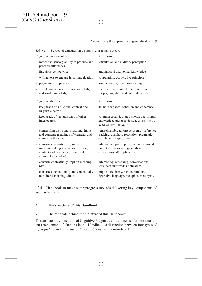#### Generalizing the apparently ungeneralizable 9

 $\oplus$ 

*Table 1.* Survey of demands on a cognitive-pragmatic theory

| Cognitive prerequisites:                                                                                                               | Key terms:                                                                                                        |
|----------------------------------------------------------------------------------------------------------------------------------------|-------------------------------------------------------------------------------------------------------------------|
| - motor and sensory ability to produce and<br>perceive utterances                                                                      | articulation and auditory perception                                                                              |
| linguistic competence<br>$\qquad \qquad -$                                                                                             | grammatical and lexical knowledge                                                                                 |
| willingness to engage in communication<br>$\qquad \qquad -$                                                                            | cooperation, cooperative principle                                                                                |
| pragmatic competence                                                                                                                   | joint attention, intention-reading                                                                                |
| social competence, cultural knowledge<br>$\qquad \qquad -$<br>and world knowledge                                                      | social norms, context of culture, frames,<br>scripts, cognitive and cultural models                               |
| Cognitive abilities:                                                                                                                   | Key terms:                                                                                                        |
| - keep track of situational context and<br>linguistic cotext                                                                           | deixis, anaphora, cohesion and coherence                                                                          |
| - keep track of mental states of other<br>interlocutors                                                                                | common ground, shared knowledge, mutual<br>knowledge, audience design, given - new,<br>accessibility, topicality  |
| - connect linguistic and situational input<br>and construe meanings of elements and<br>chunks in the input                             | sense disambiguation (polysemy), reference<br>tracking, anaphora resolution, pragmatic<br>enrichment, explicature |
| - construe conventionally implicit<br>meaning (taking into account cotext,<br>context and pragmatic, social and<br>cultural knowledge) | inferencing, presupposition, conventional<br>(and, to some extent, generalized<br>conversational) implicature     |
| - construe contextually implicit meaning<br>(dto.)                                                                                     | inferencing, reasoning, conversational<br>(esp. particularized) implicature                                       |
| - construe conventionally and contextually<br>non-literal meaning (dto.)                                                               | implicature, irony, banter, humour,<br>figurative language, metaphor, metonymy                                    |
|                                                                                                                                        |                                                                                                                   |

of this Handbook to make some progress towards delivering key components of such an account.

### **4. The structure of this Handbook**

#### 4.1. The rationale behind the structure of this Handbook<sup>1</sup>

To translate the conception of Cognitive Pragmatics introduced so far into a coherent arrangement of chapters in this Handbook, a distinction between four types of *input factors* and three major *targets of construal* is introduced: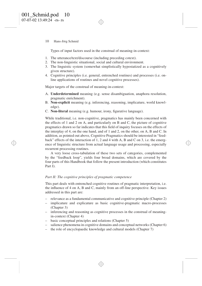10 Hans-Jörg Schmid

Types of input factors used in the construal of meaning-in-context:

- 1. The utterance/text/discourse (including preceding cotext).
- 2. The non-linguistic situational, social and cultural environment.
- 3. The linguistic system (somewhat simplistically hypostatized as a cognitively given structure).
- 4. Cognitive principles (i.e. general, entrenched routines) and processes (i.e. online applications of routines and novel cognitive processes).

Major targets of the construal of meaning-in-context:

- A. **Underdetermined** meaning (e.g. sense disambiguation, anaphora resolution, pragmatic enrichment).
- B. **Non-explicit** meaning (e.g. inferencing, reasoning, implicature, world knowledge).
- C. **Non-literal** meaning (e.g. humour, irony, figurative language).

While traditional, i.e. non-cognitive, pragmatics has mainly been concerned with the effects of 1 and 2 on A, and particularly on B and C, the picture of cognitive pragmatics drawn so far indicates that this field of inquiry focuses on the effects of the interplay of 4, on the one hand, and of 1 and 2, on the other, on A, B and C. In addition, as pointed out above, Cognitive Pragmatics should be interested in "feedback" effects of the interaction of 1, 2 and 4 with A, B and C on 3, i.e. the emergence of linguistic structure from actual language usage and processing, especially recurrent processing routines.

A very loose cross-tabulation of these two sets of categories, complemented by the "feedback loop", yields four broad domains, which are covered by the four parts of this Handbook that follow the present introduction (which constitutes Part I).

#### *Part II: The cognitive principles of pragmatic competence*

This part deals with entrenched cognitive routines of pragmatic interpretation, i.e. the influence of 4 on A, B and C, mainly from an off-line perspective. Key issues addressed in this part are:

- relevance as a fundamental communicative and cognitive principle (Chapter 2)
- implicature and explicature as basic cognitive-pragmatic macro-processes (Chapter 3)
- inferencing and reasoning as cognitive processes in the construal of meaningin-context (Chapter 4)
- basic conceptual principles and relations (Chapter 5)
- salience phenomena in cognitive domains and conceptual networks (Chapter 6)
- the role of encyclopaedic knowledge and cultural models (Chapter 7)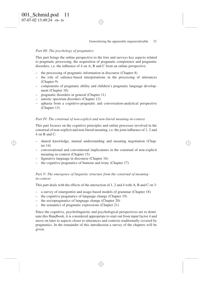#### *Part III: The psychology of pragmatics*

This part brings the online perspective to the fore and surveys key aspects related to pragmatic processing, the acquisition of pragmatic competence and pragmatic disorders, i.e. the influence of 4 on A, B and C from an online perspective:

- the processing of pragmatic information in discourse (Chapter 8)
- the role of salience-based interpretations in the processing of utterances (Chapter 9)
- components of pragmatic ability and children's pragmatic language development (Chapter 10)
- pragmatic disorders in general (Chapter 11)
- autistic spectrum disorders (Chapter 12)
- aphasia from a cognitive-pragmatic and conversation-analytical perspective (Chapter 13)

#### *Part IV: The construal of non-explicit and non-literal meaning-in-context*

This part focuses on the cognitive principles and online processes involved in the construal of non-explicit and non-literal meaning, i.e. the joint influence of 1, 2 and 4 on B and C:

- shared knowledge, mutual understanding and meaning negotiation (Chapter 14)
- conversational and conventional implicatures in the construal of non-explicit meaning-in-context (Chapter 15)
- figurative language in discourse (Chapter 16)
- the cognitive pragmatics of humour and irony (Chapter 17)

# *Part V: The emergence of linguistic structure from the construal of meaningin-context*

This part deals with the effects of the interaction of 1, 2 and 4 with A, B and C on 3:

- a survey of emergentist and usage-based models of grammar (Chapter 18)
- the cognitive pragmatics of language change (Chapter 19)
- the sociopragmatics of language change (Chapter 20)
- the semantics of pragmatic expressions (Chapter 21)

Since the cognitive, psycholinguistic and psychological perspectives are to dominate this Handbook, it is considered appropriate to start out from input factor 4 and move on later to aspects closer to utterances and contexts traditionally covered by pragmatics. In the remainder of this introduction a survey of the chapters will be given.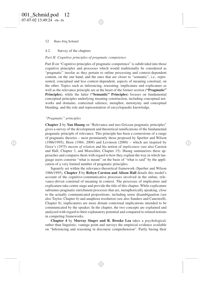#### 12 Hans-Jörg Schmid

#### 4.2. Survey of the chapters

#### *Part II: Cognitive principles of pragmatic competence*

Part II on "Cognitive principles of pragmatic competence" is subdivided into those cognitive principles and processes which would traditionally be considered as "pragmatic" insofar as they pertain to online processing and context-dependent content, on the one hand, and the ones that are closer to "semantic", i.e., represented, conceptual and less context-dependent, aspects of meaning construal, on the other. Topics such as inferencing, reasoning, implicature and explicature as well as the relevance principle are at the heart of the former section (**"Pragmatic" Principles**), while the latter (**"Semantic" Principles**) focuses on fundamental conceptual principles underlying meaning construction, including conceptual networks and domains, contextual salience, metaphor, metonymy and conceptual blending, and the role and representation of encyclopaedic knowledge.

#### *"Pragmatic" principles*

**Chapter 2** by **Yan Huang** on "Relevance and neo-Gricean pragmatic principles" gives a survey of the development and theoretical ramifications of the fundamental pragmatic principle of relevance. This principle has been a cornerstone of a range of pragmatic theories – most prominently those proposed by Sperber and Wilson (1986/1995), Horn (1984, 2009) and Levinson (2000) – which are inspired by Grice's (1975) *maxim of relation* and his notion of *implicature* (see also Carston and Hall, Chapter 3, and Moeschler, Chapter 15). Huang summarizes these approaches and compares them with regard to how they explain the way in which language users construe "what is meant" on the basis of "what is said" by the application of a very limited number of pragmatic principles.

Squarely set within the relevance-theoretical framework (Sperber and Wilson 1986/1995), **Chapter 3** by **Robyn Carston and Alison Hall** details this model's account of the cognitive-communicative processes involved in the online, relevance-driven construal of meaning in context. The processes of implicature and explicature take centre stage and provide the title of this chapter. While explicature subsumes pragmatic enrichment processes that are, metaphorically speaking, close to the actually communicated propositions, including sense disambiguation (see also Taylor, Chapter 6) and anaphora resolution (see also Sanders and Canestrelli, Chapter 8), implicatures are more distant contextual implications intended to be communicated by the speaker. In the chapter, the two concepts are explained and analyzed with regard to their explanatory potential and compared to related notions in competing frameworks.

**Chapter 4** by **Murray Singer and R. Brooke Lea** takes a psychological, rather than linguistic, vantage point and surveys the empirical evidence available on "Inferencing and reasoning in discourse comprehension". Partly basing their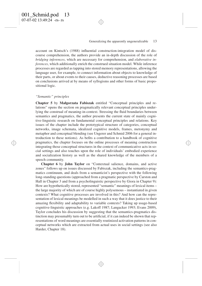#### Generalizing the apparently ungeneralizable 13

account on Kintsch's (1988) influential construction-integration model of discourse comprehension, the authors provide an in-depth discussion of the role of *bridging inferences*, which are necessary for comprehension, and *elaborative inferences*, which additionally enrich the construed situation model. While inference processes are regarded as tapping into stored memory representations, allowing the language user, for example, to connect information about objects to knowledge of their parts, or about events to their causes, deductive reasoning processes are based on conclusions arrived at by means of syllogisms and other forms of basic propositional logic.

#### *"Semantic" principles*

**Chapter 5** by **Małgorzata Fabiszak** entitled "Conceptual principles and relations" opens the section on pragmatically relevant conceptual principles underlying the construal of meaning-in-context. Stressing the fluid boundaries between semantics and pragmatics, the author presents the current state of mainly cognitive-linguistic research on fundamental conceptual principles and relations. Key issues of the chapter include the prototypical structure of categories, conceptual networks, image schemata, idealized cognitive models, frames, metonymy and metaphor and conceptual blending (see Ungerer and Schmid 2006 for a general introduction to these notions). As befits a contribution to a handbook of cognitive pragmatics, the chapter focuses on the online processes of meaning construction integrating those conceptual structures in the context of communicative acts in social settings and also touches upon the role of individuals' embodied experience and socialization history as well as the shared knowledge of the members of a speech community.

**Chapter 6** by **John Taylor** on "Contextual salience, domains, and active zones" follows up on issues discussed by Fabiszak, including the semantics-pragmatics continuum, and deals from a semanticist's perspective with the following long-standing questions (approached from a pragmatic perspective by Carston and Hall in Chapter 3 and from a psycholinguistic perspective by Giora in Chapter 9): How are hypothetically stored, represented "semantic" meanings of lexical items – the large majority of which are of course highly polysemous – instantiated in given contexts? What cognitive processes are involved in this? And how can the representation of lexical meanings be modelled in such a way that it does justice to their amazing flexibility and adaptability to variable contexts? Taking up usage-based cognitive-linguistic approaches (e.g. Lakoff 1987; Langacker 1993; Evans 2009), Taylor concludes his discussion by suggesting that the semantics-pragmatics distinction may presumably turn out to be artificial, if it can indeed be shown that representations of word meanings are essentially routinized activation patterns in conceptual networks which are extracted from actual uses in social settings (see also Harder, Chapter 18).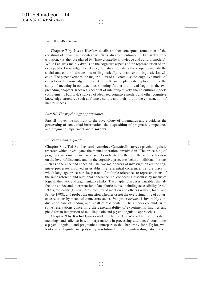#### 14 Hans-Jörg Schmid

**Chapter 7** by **Istvan Kecskes** details another conceptual foundation of the construal of meaning-in-context which is already mentioned in Fabiszak's contribution, viz. the role played by "Encyclopaedic knowledge and cultural models". While Fabiszak mainly dwells on the cognitive aspects of the representation of encyclopaedic knowledge, Kecskes systematically widens the scope to include the social and cultural dimensions of linguistically relevant extra-linguistic knowledge. The paper sketches the major pillars of a dynamic socio-cognitive model of encyclopaedic knowledge (cf. Kecskes 2008) and explains its implications for the study of meaning-in-context, thus spinning further the thread begun in the two preceding chapters. Kecskes's account of intersubjectively shared cultural models complements Fabiszak's survey of idealized cognitive models and other cognitive knowledge structures such as frames, scripts and their role in the construction of mental spaces.

#### *Part III: The psychology of pragmatics*

Part III moves the spotlight to the psychology of pragmatics and elucidates the **processing** of contextual information, the **acquisition** of pragmatic competence and pragmatic impairment and **disorders**.

#### *Processing and acquisition*

**Chapter 8** by **Ted Sanders and Anneloes Canestrelli** surveys psycholinguistic research which investigates the mental operations involved in "The processing of pragmatic information in discourse". As indicated by the title, the authors' focus is on the level of discourse and on the cognitive processes behind traditional notions such as coherence and cohesion. The two major areas of investigation are the cognitive processes involved in establishing referential coherence, i.e. the ways in which language processors keep track of multiple references to representations of the same referent, and relational coherence, i.e. connecting discourse by means of logical, thematic and argumentative links. The chapter discusses variables that affect the choice and interpretation of anaphoric items, including accessibility (Ariel 1990), topicality (Givón 1995), recency of mention and others (Walker, Joshi, and Prince 1998), and probes the question whether or not the overt signalling of coherence relations by means of connectors such as *but, yet* or *because* is invariably conducive to ease of reading and recall of text content. The authors conclude with some reservations concerning the generalizability of experimental findings and plead for an integration of text-linguistic and psycholinguistic approaches.

**Chapter 9** by **Rachel Giora** entitled "Happy New War – The role of salient meanings and salience-based interpretations in processing utterances" constitutes a psycholinguistic and pragmatic counterpart to the chapter by John Taylor, who looks at ambiguity and polysemy resolution from a cognitive-linguistic stance.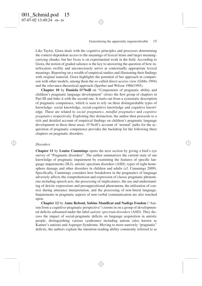#### Generalizing the apparently ungeneralizable 15

Like Taylor, Giora deals with the cognitive principles and processes determining the context-dependent access to the meanings of lexical items and larger meaningcarrying chunks, but her focus is on experimental work in the field. According to Giora, the notion of graded salience is the key to answering the question of how interlocutors swiftly and unconsciously arrive at contextually appropriate lexical meanings. Reporting on a wealth of empirical studies and illustrating their findings with original material, Giora highlights the potential of her approach in comparison with other models, among them the so-called direct-access-view (Gibbs 1994) and the relevance-theoretical approach (Sperber and Wilson 1986/1995).

**Chapter 10** by **Daniela O'Neill** on "Components of pragmatic ability and children's pragmatic language development" closes the first group of chapters in Part III and links it with the second one. It starts out from a systematic description of pragmatic competence, which is seen to rely on three distinguishable types of knowledge: social knowledge, social-cognitive knowledge and cognitive knowledge. These are related to *social pragmatics*, *mindful pragmatics* and *cognitive pragmatics* respectively. Exploiting this distinction, the author then proceeds to a rich and detailed account of empirical findings on children's pragmatic language development in these three areas. O'Neill's account of 'normal' paths for the acquisition of pragmatic competence provides the backdrop for the following three chapters on pragmatic disorders.

#### *Disorders*

**Chapter 11** by **Louise Cummings** opens the next section by giving a bird's eye survey of "Pragmatic disorders". The author summarizes the current state of our knowledge of pragmatic impairment by examining the features of specific language impairments (SLI), autistic spectrum disorders (ASD), types of right-hemisphere damage and other disorders in children and adults (cf. Cummings 2009). Specifically, Cummings considers how breakdown in the pragmatics of language adversely affects the comprehension and expression of classic pragmatic phenomena including speech acts, the processing of implicatures, the use and understanding of deictic expressions and presuppositional phenomena, the utilization of context during utterance interpretation, and the processing of non-literal language. Impairments in pragmatic aspects of non-verbal communication are also touched upon.

**Chapter 12** by **Anne Reboul, Sabine Manificat and Nadège Foudon** ("Autism from a cognitive-pragmatic perspective") zooms in on a group of developmental deficits subsumed under the label *autistic spectrum disorders* (ASD). They discuss the impact of social-pragmatic deficits on language acquisition in autistic people, distinguishing various syndromes including autism (also known as Kanner's autism) and Asperger Syndrome. Moving to more narrowly "pragmatic" deficits, the authors explain the intention-reading ability commonly referred to as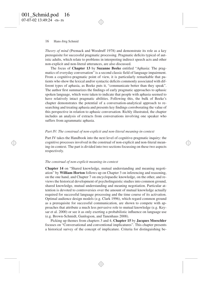#### 16 Hans-Jörg Schmid

*Theory of mind* (Premack and Woodruff 1978) and demonstrate its role as a key prerequisite for successful pragmatic processing. Pragmatic deficits typical of autistic adults, which relate to problems in interpreting indirect speech acts and other non-explicit and non-literal utterances, are also discussed.

The focus of **Chapter 13** by **Suzanne Beeke** entitled "Aphasia: The pragmatics of everyday conversation" is a second classic field of language impairment. From a cognitive-pragmatic point of view, it is particularly remarkable that patients who show the lexical and/or syntactic deficits commonly associated with different types of aphasia, as Beeke puts it, "communicate better than they speak". The author first summarizes the findings of early pragmatic approaches to aphasic spoken language, which were taken to indicate that people with aphasia seemed to have relatively intact pragmatic abilities. Following this, the bulk of Beeke's chapter demonstrates the potential of a conversation-analytical approach to researching and treating aphasia and presents key findings corroborating the value of this perspective in relation to aphasic conversation. Richly illustrated, the chapter includes an analysis of extracts from conversations involving one speaker who suffers from agrammatic aphasia.

#### *Part IV: The construal of non-explicit and non-literal meaning-in-context*

Part IV takes the Handbook into the next level of cognitive-pragmatic inquiry: the cognitive processes involved in the construal of non-explicit and non-literal meaning-in-context. The part is divided into two sections focussing on these two aspects respectively.

#### *The construal of non-explicit meaning-in-context*

**Chapter 14** on "Shared knowledge, mutual understanding and meaning negotiation" by **William Horton** follows up on Chapter 3 on inferencing and reasoning, on the one hand, and Chapter 7 on encyclopaedic knowledge, on the other, and reviews the historical development of psycholinguistic studies into common ground, shared knowledge, mutual understanding and meaning negotiation. Particular attention is devoted to controversies over the amount of mutual knowledge actually required for successful language processing and the time course of its activation. Optimal audience design models (e.g. Clark 1996), which regard common ground as a prerequisite for successful communication, are shown to compete with approaches that attribute a much less pervasive role to mutual knowledge (e.g. Keysar et al. 2000) or see it as only exerting a probabilistic influence on language use (e.g. Brown-Schmidt, Gunlogson, and Tanenhaus 2008).

Picking up themes from chapters 3 and 4, **Chapter 15** by **Jacques Moeschler** focuses on "Conversational and conventional implicatures". This chapter presents a historical survey of the concept of implicature. Criteria for distinguishing be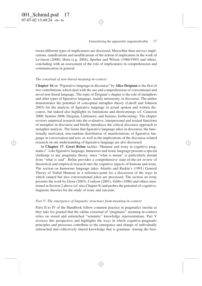001\_Schmid.pod 17 07-07-02 13:49:24 -rs- rs

> tween different types of implicatures are discussed. Moeschler then surveys implications, ramifications and modifications of the notion of implicature in the work of Levinson (2000), Horn (e.g. 2004), Sperber and Wilson (1986/1995) and others, concluding with an assessment of the role of implicatures in comprehension and communication in general.

#### *The construal of non-literal meaning-in-context*

**Chapter 16** on "Figurative language in discourse" by **Alice Deignan** is the first of two contributions which deal with the use and comprehension of conventional and novel non-literal language. The topic of Deignan's chapter is the role of metaphors and other types of figurative language, mainly metonymy, in discourse. The author demonstrates the potential of conceptual metaphor theory (Lakoff and Johnson 2003) for the analysis of figurative language in actual spoken and written discourse, but indeed also highlights its limitations and shortcomings (cf. Cameron 2008; Semino 2008; Deignan, Littlemore, and Semino, forthcoming). The chapter reviews empirical research into the evaluative, interpersonal and textual functions of metaphor in discourse and briefly introduces the critical discourse approach to metaphor analysis. The forms that figurative language takes in discourse, the functionally motivated, non-random distribution of manifestations of figurative language in conversation and text, as well as the implications of the discourse-related research on our understanding of figurative language are also discussed.

In **Chapter 17**, **Geert Brône** tackles "Humour and irony in cognitive pragmatics". Like figurative language, humorous and ironic language presents a special challenge to any pragmatic theory, since "what is meant" is particularly distant from "what is said". Brône provides a comprehensive state-of-the-art review of theoretical and empirical research into the cognitive aspects of humour and irony. The section on humorous language takes Attardo and Raskin's (1991) General Theory of Verbal Humour as a reference-point for a discussion of the ways in which canned but also conversational jokes are processed. The section on irony presents the work by Giora (2003), Coulson (2001), Gibbs (1986) and others mentioned in Section 2 above (cf. also Chapter 9) and probes the potential of cognitivelinguistic theories for the study of irony and sarcasm.

#### *Part V: The emergence of linguistic structures from meaning-in-context*

Parts II to IV of the Handbook follow common practice in pragmatics insofar as they take for granted that the online construal of "pragmatic" meaning-in-context relies on stored and entrenched "semantic" knowledge representations. Part V reverses this perspective and highlights the ways in which cognitive-pragmatic principles and processes contribute to the emergence and change of individually entrenched and collectively shared knowledge that is grammar. Among the best-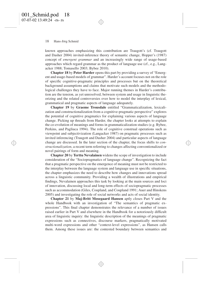#### 18 Hans-Jörg Schmid

known approaches emphasizing this contribution are Traugott's (cf. Traugott and Dasher 2004) invited-inference theory of semantic change, Hopper's (1987) concept of *emergent grammar* and an increasingly wide range of usage-based approaches which regard grammar as the product of language use (cf., e.g., Langacker 1988; Tomasello 2003; Bybee 2010).

**Chapter 18** by **Peter Harder** opens this part by providing a survey of "Emergent and usage-based models of grammar". Harder's account focuses not on the role of specific cognitive-pragmatic principles and processes but on the theoretical background assumptions and claims that motivate such models and the methodological challenges they have to face. Major running themes in Harder's contribution are the tension, as yet unresolved, between system and usage in linguistic theorizing and the related controversies over how to model the interplay of lexical, grammatical and pragmatic aspects of language adequately.

**Chapter 19** by **Graeme Trousdale** entitled "Grammaticalization, lexicalization and constructionalization from a cognitive-pragmatic perspective" explores the potential of cognitive pragmatics for explaining various aspects of language change. Picking up threads from Harder, the chapter looks at attempts to explain the co-evolution of meanings and forms in grammaticalization studies (e.g. Bybee, Perkins, and Pagliuca 1994). The role of cognitive construal operations such as viewpoint and subjectivization (Langacker 1987) on pragmatic processes such as invited inferencing (Traugott and Dasher 2004) and particular aspects of language change are discussed. In the later section of the chapter, the focus shifts to *constructionalization*, a recent term referring to changes affecting conventionalized or novel pairings of form and meaning.

**Chapter 20** by **Terttu Nevalainen** widens the scope of investigation to include consideration of the "Sociopragmatics of language change". Recognizing the fact that a pragmatic perspective on the emergence of meaning must not be restricted to the interplay between the language system and language use in specific situations, the chapter emphasizes the need to describe how changes and innovations spread across a linguistic community. Providing a wealth of illustrations and empirical findings, Nevalainen approaches this task by looking at the main sources and loci of innovation, discussing local and long-term effects of sociopragmatic processes such as accommodation (Giles, Coupland, and Coupland 1991; Auer and Hinskens 2005) and investigating the role of social networks and acts of social identity.

**Chapter 21** by **Maj-Britt Mosegaard Hansen** aptly closes Part V and the whole Handbook with an investigation of "The semantics of pragmatic expressions". This final chapter demonstrates the relevance of a number of issues raised earlier in Part V and elsewhere in the Handbook for a notoriously difficult area of linguistic inquiry: the linguistic description of the meanings of pragmatic expressions such as connectives, discourse markers, pragmatically motivated multi-word expressions and other "context-level expressions", as Hansen calls them. Among these issues are: the contested boundary between semantics and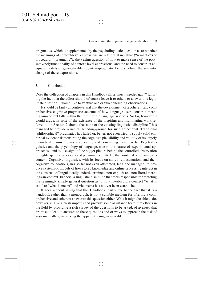#### Generalizing the apparently ungeneralizable 19

pragmatics, which is supplemented by the psycholinguistic question as to whether the meanings of context-level expressions are referential in nature ("semantic") or procedural ("pragmatic"); the vexing question of how to make sense of the polysemy/polyfunctionality of context-level expressions; and the need to construct adequate models of generalizable cognitive-pragmatic factors behind the semantic change of these expressions.

#### **5. Conclusion**

Does the collection of chapters in this Handbook fill a "much-needed gap"? Ignoring the fact that the editor should of course leave it to others to answer this legitimate question, I would like to venture one or two concluding observations.

It should be fairly uncontroversial that the development of a coherent and comprehensive cognitive-pragmatic account of how language users construe meanings-in-context falls within the remit of the language sciences. So far, however, I would argue, in spite of the existence of the inspiring and illuminating work referred to in Section 2 above, that none of the existing linguistic "disciplines" has managed to provide a natural breeding-ground for such an account. Traditional "philosophical" pragmatics has failed or, better, not even tried to supply solid empirical evidence demonstrating the cognitive plausibility and validity of its largely theoretical claims, however appealing and convincing they may be. Psycholinguistics and the psychology of language, true to the nature of experimental approaches, tend to lose sight of the bigger picture behind the controlled observation of highly specific processes and phenomena related to the construal of meaning-incontext. Cognitive linguistics, with its focus on stored representations and their cognitive foundations, has so far not even attempted, let alone managed, to produce systematic models of how stored knowledge and online processing interact in the construal of linguistically underdetermined, non-explicit and non-literal meanings-in-context. In short, a linguistic discipline that feels responsible for targeting the seemingly simple general question as to how interlocutors connect "what is said" to "what is meant" and vice versa has not yet been established.

It goes without saying that this Handbook, partly due to the fact that it is a handbook rather than a monograph, is not a suitable medium for offering a comprehensive and coherent answer to this question either. What it might be able to do, however, is give a fresh impetus and provide some assistance for future efforts in the field by providing a rich survey of the questions to be asked, of avenues that promise to lead to answers to these questions and of ways to approach the task of systematically generalizing the apparently ungeneralizable.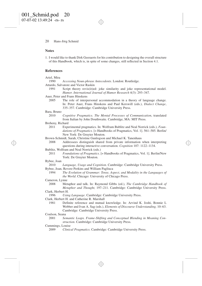20 Hans-Jörg Schmid

#### **Notes**

1. I would like to thank Dirk Geeraerts for his contribution to designing the overall structure of this Handbook, which is, in spite of some changes, still reflected in Section 4.1.

#### **References**

#### Ariel, Mira

1990 *Accessing Noun-phrase Antecedents*. London: Routledge.

Attardo, Salvatore and Victor Raskin

- 1991 Script theory revis(it)ed: joke similarity and joke representational model. *Humor*. *International Journal of Humor Research* 4(3): 293–347.
- Auer, Peter and Frans Hinskens
	- 2005 The role of interpersonal accommodation in a theory of language change. In: Peter Auer, Frans Hinskens and Paul Kerswill (eds.), *Dialect Change*, 335–357. Cambridge: Cambridge University Press.

#### Bara, Bruno

- 2010 *Cognitive Pragmatics*. *The Mental Processes of Communication*, translated from Italian by John Douthwaite. Cambridge, MA: MIT Press.
- Breheny, Richard
	- 2011 Experimental pragmatics. In: Wolfram Bublitz and Neal Norrick (eds.), *Foundations of Pragmatics*. [= Handbooks of Pragmatics, Vol. 1]. 561–585. Berlin/ New York: De Gruyter Mouton.
- Brown-Schmidt, Sarah, Christine Gunlogson and Michael K. Tanenhaus
- 2008 Addressees distinguish shared from private information when interpreting questions during interactive conversation. *Cognition* 107: 1122–1134.

Bublitz, Wolfram and Neal Norrick (eds.)

- 2011 *Foundations of Pragmatics*. [= Handbooks of Pragmatics, Vol. 1]. Berlin/New York: De Gruyter Mouton.
- Bybee, Joan
- 2010 *Language, Usage and Cognition*. Cambridge: Cambridge University Press.
- Bybee, Joan, Revere Perkins and William Pagliuca
	- 1994 *The Evolution of Grammar: Tense, Aspect, and Modality in the Languages of the World*. Chicago: University of Chicago Press.

#### Cameron, Lynne

- 2008 Metaphor and talk. In: Raymond Gibbs (ed.), *The Cambridge Handbook of Metaphor and Thought,* 197–211. Cambridge: Cambridge University Press. Clark, Herbert H.
- 1996 *Using Language*. Cambridge: Cambridge University Press.

Clark, Herbert H. and Catherine R. Marshall

1981 Definite reference and mutual knowledge. In: Arvind K. Joshi, Bonnie L Webber and Ivan A. Sag (eds.), *Elements of Discourse Understanding,* 10–63. Cambridge: Cambridge University Press.

#### Coulson, Seana

2001 *Semantic Leaps. Frame-Shifting and Conceptual Blending in Meaning Construction*. Cambridge: Cambridge University Press.

Cummings, Louise

2009 *Clinical Pragmatics*. Cambridge: Cambridge University Press.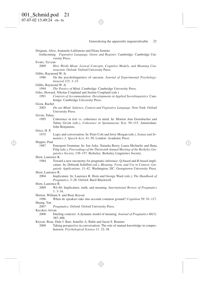Deignan, Alice, Jeannette Littlemore and Elena Semino

forthcoming *Figurative Language, Genre and Register*. Cambridge: Cambridge University Press.

Evans, Vyvyan

2009 *How Words Mean*: *Lexical Concepts, Cognitive Models, and Meaning Construction*. Oxford: Oxford University Press.

Gibbs, Raymond W. Jr.

- 1986 On the psycholinguistics of sarcasm. *Journal of Experimental Psychology: General* 115: 3–15.
- Gibbs, Raymond W. Jr.

1994 *The Poetics of Mind*. Cambridge: Cambridge University Press.

- Giles, Howard, Nikolas Coupland and Justine Coupland (eds.)
	- 1991 *Contexts of Accommodation: Developments in Applied Sociolinguistics*. Cambridge: Cambridge University Press.

#### Giora, Rachel

2003 *On our Mind: Salience, Context and Figurative Language*. New York: Oxford University Press.

Givón, Talmy

1995 Coherence in text vs. coherence in mind. In: Morton Ann Gernsbacher and Talmy Givón (eds.), *Coherence in Spontaneous Text*, 59–115. Amsterdam: John Benjamins.

Grice, H. P.

1975 Logic and conversation. In: Peter Cole and Jerry Morgan (eds.), *Syntax and Semantics 3: Speech Acts*, 41–58. London: Academic Press.

Hopper, Paul

1987 Emergent Grammar. In: Jon Aske, Natasha Beery, Laura Michaelis and Hana Filip (eds.), *Proceedings of the Thirteenth Annual Meeting of the Berkeley Linguistics Society,* 139–157. Berkeley: Berkeley Linguistics Society.

#### Horn, Laurence R.

1984 Toward a new taxonomy for pragmatic inference: Q-based and R-based implicature. In: Deborah Schiffrin (ed.), *Meaning, Form, and Use in Context: Linguistic Applications*, 11–42. Washington, DC: Georgetown University Press.

Horn, Laurence R.

2004 Implicature. In: Laurence R. Horn and George Ward (eds.), *The Handbook of Pragmatics*, 3–28. Oxford: Basil Blackwell.

#### Horn, Laurence R.

2009 WJ-40: Implicature, truth, and meaning. *International Review of Pragmatics* 1: 3–34.

Horton, William S. and Boaz Keysar

1996 When do speakers take into account common ground? *Cognition* 59: 91–117. Huang, Yan

2007 *Pragmatics*. Oxford: Oxford University Press.

#### Kecskes, Istvan

- 2008 Dueling contexts: A dynamic model of meaning. *Journal of Pragmatics* 40(3): 385–406.
- Keysar, Boaz, Dale J. Barr, Jennifer A. Balin and Jason S. Brauner
- 2000 Taking perspective in conversation: The role of mutual knowledge in comprehension. *Psychological Science* 11: 32–38.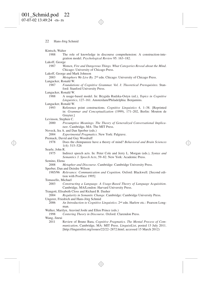22 Hans-Jörg Schmid

Kintsch, Walter

- 1988 The role of knowledge in discourse comprehension: A construction-integration model. *Psychological Review* 95: 163–182.
- Lakoff, George
	- 1987 *Women, Fire and Dangerous Things. What Categories Reveal about the Mind*. Chicago: University of Chicago Press.
- Lakoff, George and Mark Johnson
- 2003 *Metaphors We Live By.* 2nd edn. Chicago: University of Chicago Press.
- Langacker, Ronald W.
	- 1987 *Foundations of Cognitive Grammar. Vol. I: Theoretical Prerequisites*. Stanford: Stanford University Press.
- Langacker, Ronald W.
	- 1988 A usage-based model. In: Brygida Rudzka-Ostyn (ed.), *Topics in Cognitive Linguistics*, 127–161. Amsterdam/Philadelphia: Benjamins.
- Langacker, Ronald W.
	- 1993 Reference point constructions. *Cognitive Linguistics* 4, 1–38. [Reprinted in: *Grammar and Conceptualization* (1999), 171–202, Berlin: Mouton de Gruyter.]
- Levinson, Stephen C.
	- 2000 *Presumptive Meanings. The Theory of Generalized Conversational Implicature*. Cambridge, MA: The MIT Press.
- Noveck, Ira A. and Dan Sperber (eds.)

2004 *Experimental Pragmatics*. New York: Palgrave.

- Premack, David and Guy Woodruff
	- 1978 Does the chimpanzee have a theory of mind? *Behavioral and Brain Sciences* 1(4): 515–526
- Searle, John R.
	- 1975 Indirect speech acts. In: Peter Cole and Jerry L. Morgan (eds.), *Syntax and Semantics 3. Speech Acts*, 59–82. New York: Academic Press.
- Semino, Elena
- 2008 *Metaphor and Discourse*. Cambridge: Cambridge University Press.

Sperber, Dan and Deirdre Wilson

- 1985/96 *Relevance: Communication and Cognition.* Oxford: Blackwell. [Second edition with Postface 1995]
- Tomasello, Michael
	- 2003 *Constructing a Language*. *A Usage-Based Theory of Language Acquisition*. Cambridge, MA/London: Harvard University Press.
- Traugott, Elisabeth Closs and Richard B. Dasher
- 2004 *Regularity in Semantic Change*. Cambridge: Cambridge University Press.
- Ungerer, Friedrich and Hans-Jörg Schmid
	- 2006 *An Introduction to Cognitive Linguistics*. 2nd edn. Harlow etc.: Pearson Longman.
- Walker, Marilyn, Aravind Joshi and Ellen Prince (eds.)
	- 1998 *Centering Theory in Discourse*. Oxford: Clarendon Press.

#### Wang, Jinrui

2011 Review of Bruno Bara, *Cognitive Pragmatics. The Mental Process of Communication*, Cambridge, MA: MIT Press. *LinguistList*, posted 13 July 2011. [http://linguistlist.org/issues/22/22–2872.html; accessed 15 March 2012)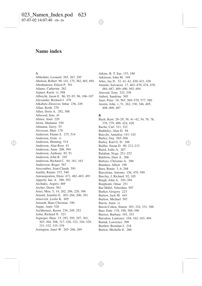023\_Namen\_Index.pod 623 07-07-02 14:07:40 -rs- rs

# **Name index**

#### **A**

Abbeduto, Leonard 265, 267, 295 Abelson, Robert 90, 141, 175, 382, 465, 494 Abrahamsen, Eileen P. 301 Adams, Catherine 262 Aijmer, Karin vi, 588 Albrecht, Jason E. 86, 92–93, 96, 106–107 Alexander, Richard J. 478 Alkabets-Zlozover, Inbar 236, 249 Allan, Keith 270 Allen, Doris A. 292, 308 Allwood, Jens 41 Almor, Amit 220 Aloni, Shulamit 250 Altmann, Gerry 55 Alvesson, Mats 176 Andersen, Elaine S. 275, 514 Andersen, Gisle vi Andersen, Henning 514 Anderson, Alan Ross 41 Anderson, Anne 208, 394 Anderson, Anthony 85, 91 Anderson, John R. 105 Anderson, Richard C. 94, 161, 163 Andersson, Roger 567 Anscombre, Jean-Claude 591 Antilla, Raimo 537, 540 Antonopoulou, Eleni 471, 482–483, 493 Apperly, Ian. A. 388, 392 Archakis, Argiris 469 Archer, Dawn 561 Ariel, Mira 5, 14, 202, 206, 220, 396 Arnold, Jennifer E. 203–204, 206, 391 Arnovick, Leslie K. 605 Arnseth, Hans Christian 190 Arppe, Antti 526 Aschkenazi, Keren 236, 249, 252 Aslin, Richard N. 323 Asperger, Hans 15, 292, 295, 297, 301, 303–304, 308, 317–320, 323, 326–329, 331–332, 335–339 Astington, Janet W. 265–266, 269

Atkins, B. T. Sue 153, 180 Atkinson, John M. 349 Atlas, Jay D. 32, 41–42, 420–421, 428 Attardo, Salvatore 17, 463–470, 474, 478, 484–487, 489–490, 492–494 Atwood, Tony 332, 339 Aubert, Sandrine 305 Auer, Peter 18, 565, 569–570, 577, 580 Austin, John v, 51, 262, 330, 346, 405, 408–409, 487

#### **B**

Bach, Kent 28–29, 38, 41–42, 54, 76, 78, 376, 379, 409, 424, 428 Bache, Carl 511, 522 Baddeley, Alan D. 94 Baicchi, Annalisa 141–142 Bailey, Guy 565–566 Bailey, Karl G. D. 106 Baillet, Susan D. 90, 212–213 Baird, Jodie A. 267 Balaban, Noga 251–252 Baldwin, Dare A. 266 Baltaxe, Christine A. 300 Bandura, Albert 190 Bara, Bruno 3, 6, 268 Barcelona, Antonio 156, 479, 599 Barclay, J. Richard 92, 105 Bargh, John A. 393–394 Barghouti, Omar 251 Bar-Hillel, Yehoshua 507 Barker, Gregory 223 Barlow, Jack M. 443 Barlow, Michael 507 Baron, Anne vi Baron-Cohen, Simon 303, 324, 331, 388 Barr, Dale 178, 190, 388–390 Barresi, Barbara 345, 353 Barsalou, Laurence 104, 162–163, 494 Bartak, Lawrence 309 Bartlett, Brendan J. 218 Barton, Michelle E. 266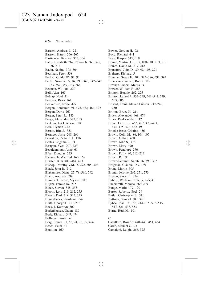07-07-02 14:07:40 -rs- rs

624 Name index

Bartsch, Andreas J. 221 Bartsch, Karen 266–267 Bastiaanse, Roelien 353, 364 Bates, Elisabeth 262, 265–266, 269, 325, 356, 516 Bazin, Nadine 303–304 Bearman, Peter 338 Becker, Guido 86, 91, 93 Beeke, Suzanne 5, 16, 293, 345, 347–348, 353–357, 359, 363–364 Beeman, William 270 Bell, Alan 165 Belnap, Noel 41 Benczes, Réka 161 Benveniste, Emile 427 Bergen, Benjamin 91, 475, 482–484, 493 Bergen, Doris 267 Berger, Peter. L. 183 Bergs, Alexander 542, 553 Berkum, Jos J. A. van 104 Bern, Hyman 212 Berndt, Rita S. 353 Bernicot, Josie 268–269 Bernstein, Richard. J. 176 Bertus, Eugenie L. 91 Bestgen, Yves 207, 223 Bezuidenhout, Anne 61 Biber, Douglas 523 Bierwisch, Manfred 160, 168 Binsted, Kim 483–484, 493 Bishop, Dorothy V.M. 5, 292, 305, 308 Black, John B. 212 Blakemore, Diane 27, 78, 590, 592 Blank, Andreas 599 Blasco-Dulbecco, Mylène 587 Blijzer, Femke De 215 Bloch, Steven 348, 353 Bloom, Lois 213, 262, 275 Bloom, Paul 319, 323, 325 Blum-Kulka, Shoshana 276 Bluth, George J. 217–218 Bock, J. Kathryn 309 Bodenhausen, Galen 189 Body, Richard 347, 474 Bollinger, Susan ix Borg, Emma 31, 55, 74, 76, 79, 426 Bosch, Peter 61 Bouillon 160

Bower, Gordon H. 92 Boyd, Richard 441 Boye, Kasper 517, 519 Braine, Martin D. S. 97, 100–101, 103, 517 Brandt, David M. 217–218 Bransford, John D. 89, 92, 105, 221 Breheny, Richard 5 Brennan, Susan E. 204, 384–386, 391, 394 Brenneise-Sarshad, Robin 303 Bresnan-Enders, Maura ix Brewer, William F. 383 Brinton, Bonnie 262, 275 Brinton, Laurel J. 537–539, 541–542, 549, 603, 606 Brisard, Frank, Steven Frisson 239–240, 250 Britton, Bruce K. 211 Brock, Alexander 468, 474 Broek, Paul van den 212 Brône, Geert 17, 463, 467, 470–471, 474–475, 478–482, 493 Brooke-Rose, Cristina 456 Brown, Colin M. 86, 104, 107 Brown, Gillian 438 Brown, John S. 176 Brown, Mary 490 Brown, Penelope 270 Brown, Polly 90, 212–213 Brown, R. 591 Brown-Schmidt, Sarah 16, 390, 393 Brugman, Claudia 157, 169 Brüne, Martin 305 Bruner, Jerome 262, 271, 273 Bryson, Susan E. 324 Bublitz, Wolfram v, vi, ix, 3–5, 41 Bucciarelli, Monica 268–269 Bunge, Mario 177, 190 Burton-Roberts, Noel 29 Butler, Christopher S. 511 Buttrick, Samuel 387, 390 Bybee, Joan 18, 166, 214–215, 513–515, 517, 521, 533, 553 Byrne, Ruth M. 101

#### **C**

Caballero, Rosario 440–441, 451, 454 Calvo, Manuel G. 95 Camaioni, Luigia 266, 325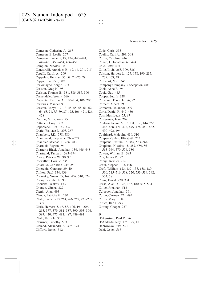023\_Namen\_Index.pod 625 07-07-02 14:07:40 -rs- rs

#### Name index 625

Cameron, Catherine A. 267 Cameron, E. Leslie 267 Cameron, Lynne 5, 17, 134, 440–444, 449–451, 453–454, 456–458 Campion, Nicolas 100 Canestrelli, Anneloes R. 12, 14, 201, 215 Capelli, Carol. A. 269 Cappelen, Herman 55, 58, 74–75, 79 Capps, Lisa 271, 309 Carlomagno, Sergio 303 Carlson, Greg N. 95 Carlson, Thomas B. 381, 386–387, 390 Carpendale, Jeremy 266 Carpenter, Patricia A. 103–104, 106, 203 Carreiras, Manuel 91 Carston, Robyn 12–13, 48, 55, 58, 61–62, 64, 68, 71, 75–79, 87, 175, 406, 421, 426, 428 Castillo, M. Dolores 95 Cattaneo, Luigi 337 Ceponiene, Rita 323, 337 Chafe, Wallace L. 208, 267 Chambers, J.K. 578, 580 Chaminaud, Stephanie 268–269 Chandler, Michael J. 266, 483 Charniak, Eugene 94 Charteris-Black, Jonathan 134, 446–448 Chartrand, Tanya L. 393–394 Cheng, Patricia W. 90, 97 Chevallier, Coralie 335 Chiarello, Christine 249–250 Chierchia, Gennaro 39–40 Chilton, Paul 134, 439 Chomsky, Noam 55, 169, 407, 510, 524 Chong, Jennifer L. 93 Choueka, Yaakov 153 Chunyo, Gitana 327 Cienki, Alan 493 Clancy, Patricia M. 270 Clark, Eve V. 213, 264, 266, 269, 271–272, 397 Clark, Herbert 5, 16, 88, 106, 191, 206, 213, 377, 379, 381–387, 390, 393–394, 397, 420, 477, 481, 487, 489–491 Clark, Tedra F. 305 Clausner, Timothy 533 Cleland, Alexandra A. 393–394 Clifford, James 512

Code, Chris 355 Coelho, Carl A. 293, 308 Coffin, Caroline 446 Cohen, L. Jonathan 67, 424 Cole, Peter 405 Colle, Livia 268, 309, 336 Colston, Herbert L. 127, 178, 190, 237, 239, 463, 484 Coltheart, Max 345 Company Company, Concepción 603 Cook, Anne E. 96 Cook, Guy 445 Cooper, Judith 328 Copeland, David E. 86, 92 Corbett, Albert 89 Corcoran, Rhiannon 297 Corts, Daniel P. 449–450 Cosmides, Leda 55, 97 Costerman, Jean 207 Coulson, Seana 5, 17, 131, 136, 144, 255, 463–468, 471–472, 475–478, 480–482, 490–492, 494 Coulthard, Malcolm 439, 510 Couper-Kuhlen, Elizabeth 223 Coupland, Justine 18, 387, 563–564 Coupland, Nikolas 18, 387, 559, 561, 563–564, 570, 574, 580 Cowan, William B. 393 Cox, James R. 97 Cozijn, Reinier 212 Crain, Stephen 103, 106 Croft, William 123, 137–138, 158, 180, 510, 515–516, 518, 520, 533–534, 542, 554, 581 Cross, David 270, 331 Cruse, Alan D. 123, 137, 180, 515, 534 Culler, Jonathan 512 Culpeper, Jonathan 561 Curcó, Carmen 474, 494 Curtis, Mary E. 88 Cutica, Ilaria 293 Cutting, Cooper 237

#### **D**

D'Agostino, Paul R. 96 D'Andrade, Roy 175, 179, 181 Dabrowska, Ewa 521 Dahl, Östen 517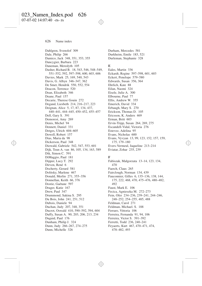023\_Namen\_Index.pod 626 07-07-02 14:07:40 -rs- rs

626 Name index

Dahlgren, Svenolof 309 Dale, Philip 266 Damico, Jack 348, 351, 353, 355 Dancygier, Barbara 223 Daneman, Meredyth 105 Dasher, Richard B. 18, 543, 546, 548–549, 551–552, 592, 597–598, 600, 603, 606 Davies, Mark 25, 169, 540, 543 Davis, G. Albyn 346–347, 362 De Smet, Hendrik 550, 552, 554 Deacon, Terrence 520 Dean, Elizabeth 346 Deane, Paul 157 Decarie, Therese Gouin 272 Degand, Liesbeth 214, 216–217, 223 Deignan, Alice 5, 17, 87, 134, 437, 440–441, 444–445, 450–452, 455–457 Dell, Gary S. 391 Demorest, Amy 269 Denis, Michel 94 Dennett, Daniel 331 Detges, Ulrich 604–605 Dewell, Robert 157 Dias, Maria da 98 Dickerson, Paul 348 Diewald, Gabriele 542, 547, 553, 601 Dijk, Teun A. van 86, 105, 134, 163, 589 Dik, Simon C. 591 DiMaggio, Paul 181 Dipper, Lucy T. 292 Dirven, René 6 Docherty, Gerard 581 Dolitsky, Marlene 467 Donald, Merlin 271, 355–356 Donnellan, Keith 66, 376 Dostie, Gaétane 597 Drager, Katie 167 Drew, Paul 347 Drummond, Sakina S. 295 Du Bois, John 241, 251, 512 Dubois, Daniele 94 Duchan, Judy 207, 348, 351 Ducrot, Oswald 410, 590–592, 594, 604 Duffy, Susan A. 90, 203, 206, 213, 234 Duguid, Paul 176 Dunham, Philip J. 324 Dunn, Judy 266–267, 274–275 Dunn, Michelle 326

Durham, Mercedes 581 Durkheim, Emile 183, 521 Durleman, Stephanie 328

# **E**

Eales, Martin 336 Eckardt, Regine 597–598, 601, 603 Eckert, Penelope 579–580 Edwards, Susan 356, 364 Ehrlich, Kate 88 Eilan, Naomi 324 Eisele, Julie A. 300 Elbourne, Paul 77 Ellis, Andrew W. 355 Emerich, David 334 Erbaugh, Mary S. 270 Erickson, Thomas D. 105 Ericsson, K. Anders 469 Erman, Britt 603 Ervin-Tripp, Susan 264, 269, 275 Escandell-Vidal, Victoria 276 Estevez, Adelina 95 Evans, Nicholas 600 Evans, Vyvyan 13, 99, 123, 152, 157, 159, 175, 179–180 Evers-Vermeul, Jaqueline 213–214 Eviatar, Zohar 235, 239

#### **F**

Fabiszak, Małgorzata 13–14, 123, 134, 470 Faerch, Claus 265 Fairclough, Norman 134, 439 Fauconnier, Gilles 6, 135–136, 138, 144, 175, 222, 468, 470, 475–476, 480–482, 492 Faust, Mark E. 106 Fecica, Agnieszka M. 272–273 Fein, Ofer 234–236, 239–241, 244–246, 248–252, 254–255, 485, 488 Feldman, Carol 271 Feldman, Michael. S. 188 Ferraro, Vittoria 106 Ferreira, Fernanda 91, 94, 106 Ferreira, Victor S. 391–392 Ferretti, Todd 236, 240–241 Feyaerts, Kurt 467, 470–471, 474, 478–482, 493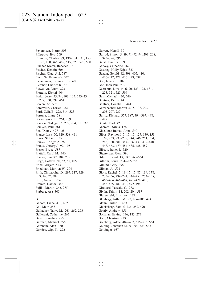023\_Namen\_Index.pod 627 07-07-02 14:07:40 -rs- rs

Name index 627

Feyereisen, Pierre 303 Filippova, Eva 269 Fillmore, Charles 89, 130–131, 141, 153, 175, 180, 465, 482, 515, 523, 526, 590 Fincher-Kiefer, Rebecca 96 Fischer, Kerstin 606 Fischer, Olga 542, 587 Fitch, W. Tecumseh 407 Fleischman, Suzanne 512, 605 Fletcher, Charles R. 86 Flewellyn, Laura 293 Fløttum, Kjersti 604 Fodor, Jerry 55, 74, 103, 105, 233–234, 237, 330, 398, 464 Foolen, Ad 596 Forceville, Charles 482 Ford, Celia E. 223, 514, 523 Fortune, Liane 581 Foster, Susan H. 264, 269 Foudon, Nadège 15, 292, 294, 317, 320 Foulkes, Paul 581 Fox, Danny 427–428 France, Lisa 70, 320, 338, 411 Frank, Stefan L. 97 Franks, Bridget A. 97 Franks, Jeffery J. 92, 105 Fraser, Bruce 587 Frattali, Carol M. 346 Frazier, Lyn 87, 104, 235 Frege, Gottlob 50, 53, 55, 405 Fried, Mirjam 543 Friedman, Marilyn W. 204 Frith, Christopher D. 297, 317, 329, 331–332, 388 Fritz, Anna S. 266 Fromm, Davida 346 Fujiki, Martin 262, 275 Fyrberg, Åsa 305

#### **G**

Gabora, Liane 478, 482 Gal, Meir 253 Gallagher, Tanya M. 261–262, 273 Gallerani, Catherine 267 Ganzi, Jonathan 255 Garman, Michael 356 Garnham, Alan 380 Garnica, Olga K. 272

Garrett, Merrill 39 Garrod, Simon 5, 89, 91–92, 94, 203, 208, 393–394, 396 Garst, Jennifer 189 Garvey, Catherine 267 Gastbeg, Holly Zajac 323 Gazdar, Gerald 42, 398, 405, 410, 416–417, 421, 426, 428, 588 Gee, James. P. 182 Gee, John Paul 272 Geeraerts, Dirk ix, 6, 20, 123–124, 181, 223, 521, 525, 596 Geis, Michael 420, 546 Gentner, Dedre 441 Gentner, Donald R. 441 Gernsbacher, Morton A. 5, 106, 203, 205–207, 237 Gerrig, Richard 377, 387, 394–397, 448, 489 Geurts, Bart 42 Gherardi, Silvia 176 Giacalone Ramat, Anna 540 Gibbs, Raymond 5, 15, 17, 127, 139, 153, 168, 233, 237–239, 244, 246, 251, 254, 268, 380–381, 384–386, 437, 439–440, 448, 463, 479, 484–485, 488–489 Gibson, James J. 520 Gigerenzer, Gerd 390 Giles, Howard 18, 387, 563–564 Gilliom, Laura 204–205, 220 Gillund, Gary 395 Gilman, A. 591 Giora, Rachel 5, 13–15, 17, 87, 139, 178, 233–236, 239–241, 244–252, 254–255, 463–464, 466–467, 471–478, 480, 483–485, 487–490, 492, 494 Girouard, Pascale, C. 272 Givón, Talmy 14, 202, 204, 517 Glasersfeld, Ernst von 177 Glenberg, Arthur M. 92, 104–105, 494 Glenn, Phillip J. 463 Glucksberg, Sam 5, 236, 252, 490 Goatly, Andrew 451 Goffman, Erving 136, 185, 273 Gohl, Christine 223 Goldberg, Adele 482–483, 515–516, 554 Golding, Jonathan M. 91, 94, 223, 545 Goldinger 167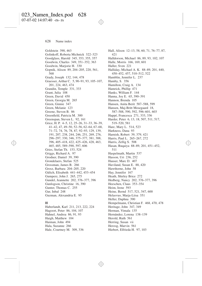07-07-02 14:07:40 -rs- rs

628 Name index

Goldstein 390, 463 Golinkoff, Roberta Michnick 322–323 Goodglass, Harold 345, 353, 355, 357 Goodwin, Charles 349, 351–352, 363 Goodwin, Marjorie H. 330 Gopnik, Alison 89, 204–205, 220, 561, 568 Grady, Joseph 132, 144, 478 Graesser, Arthur C. 5, 90–91, 93, 105–107, 201, 224, 463, 474 Grandin, Temple 331, 333 Grant, Julia 108 Green, David 450 Green, Georgia M. 265 Green, Ginnie 347 Green, Melanie 123 Greene, Steven B. 86 Greenfield, Patricia M. 300 Greenspan, Steven L. 92, 161 Grice, H. P. 4–5, 12, 25–26, 31–33, 36–39, 41–42, 47, 49–50, 52–56, 62–64, 67–68, 71–72, 74, 76, 78, 87, 92–93, 129, 139, 191, 207, 238, 244, 246, 251, 269, 276, 296–297, 330, 346, 375–377, 381, 388, 396, 405–418, 422, 425–426, 428, 463, 465, 485, 589–590, 597, 606 Gries, Stefan Th. 153, 524 Griggs, Richard A. 97 Grodner, Daniel 39, 390 Grondelaers, Stefan 525 Grossman, James B. 266 Grosz, Barbara 204–205, 220 Gülich, Elisabeth 441–442, 453–454 Gumperz, John J. 265, 275 Gundel, Jeannette 202, 376–377, 396 Gunlogson, Christine 16, 390 Gunter, Thomas C. 255 Gur, Inbal 248 Guzman, Alexandria E. 95

#### **H**

Haberlandt, Karl 211, 213, 222, 224 Hagoort, Peter 86, 104, 107 Hahnel, Andrea 86, 91, 93 Haigh, Matthew 104 Haiman, John 494 Hala, Suzanne 266 Hale, Courtney M. 309, 336

Hall, Alison 12–13, 58, 60, 71, 76–77, 87, 421 Halldorson, Michael 86, 89, 93, 102, 107 Halle, Morris 166, 169, 601 Haller, Sven 221 Halliday, Michael A. K. 88–89, 201, 440, 450–452, 457, 510–512, 522 Hamblin, Jennifer L. 237 Hamby, S. 356 Hamilton, Craig A. 134 Hamrick, Phillip 471 Hanks, William F. 144 Hanna, Joy E. 65, 390–391 Hannon, Brenda 105 Hansen, Anita Berit 587–588, 599 Hansen, Maj-Britt Mosegaard 18, 587–588, 590, 592, 596–601, 603 Happé, Francesca 271, 333, 336 Harder, Peter 6, 13, 18, 507, 511, 517, 519–520, 581 Hare, Mary L. 514, 523 Harkness, Dana 93 Harnish, Robert 39, 379, 421 Harris, Paul L. 265–267, 272 Harris, Zellig S. 508 Hasan, Ruqaiya 88–89, 201, 451–452, 511 Haspelmath, Martin 537 Hasson, Uri 236, 252 Hauser, Marc D. 407 Haviland, Susan E. 88, 420 Hawthorne, John 58 Hay, Jennifer 167 Heath, Shirley Brice 272 Hedberg, Nancy 202, 376–377, 396 Heeschen, Claus 353–354 Heim, Irene 593 Heine, Bernd 517, 521, 547, 600 Helasvuo, Marja-Liisa 351 Heller, Daphna 390 Hempelmann, Christian F. 468, 470, 478 Heritage, John 347, 349 Herman, Vimala 135 Hernández, Lorena 138–139 Herold, Ruth 561 Herring, Susan vii Herzog, Marvin 561 Hiebert, Elfrieda H. 97, 103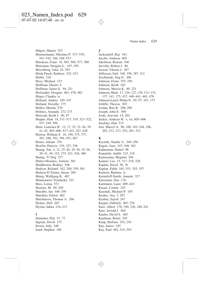Name index 629

023\_Namen\_Index.pod 629 07-07-02 14:07:40 -rs- rs

> Hilpert, Martin 553 Himmelmann, Nikolaus P. 537–539, 541–542, 546, 548–553 Hinskens, Frans 18, 565, 569, 577, 580 Hintzman, Douglas L. 167, 395 Hirschberg, Julia 42, 593 Hirsh-Pasek, Kathryn 322–323 Hobbs 210 Hoey, Michael 153 Hoffman, Dustin 6 Hoffman, James E. 94, 221 Hofstadter, Douglas 463, 478, 482 Höger, Claudia ix Holland, Audrey 345–347 Holland, Dorothy 175 Hollos, Marida 270 Holmes, Amanda 272–273 Holyoak, Keith J. 90, 97 Hopper, Paul 18, 511–517, 519, 521–522, 537, 549, 599 Horn, Laurence R. 12, 17, 25, 31–36, 39, 41–42, 405–406, 417–421, 427–428 Horton, William S. 16, 190, 375, 377, 387–388, 392, 394–397, 487 House, Juliane 276 Howlin, Patricia 319, 327, 338 Huang, Yan 4, 12, 25–26, 29–30, 32–36, 38–41, 49, 152, 375, 421, 426, 486 Huang, Yi Ting 277 Huber-Okrainec, Joelene 301 Huddleston, Rodney 546 Hudson, Richard 162, 204, 559, 561 Hudson-D'Zmura, Susan 204 Hünig, Wolfgang K. 482 Hünnemeier, Friederike 521 Huss, Leena 572 Hustinx, M. 89, 205 Hutchby, Ian 348–350 Hutchins, Edwin 482 Hutchinson, Thomas A. 266 Hymes, Dell 265 Hyönä, Jukka 216–217 **I**

#### Ifantidou, Elly 51, 77 Ingram, David 275 Ireson, Judy 348 Isard, Stephen 106

Jackendoff, Ray 161 Jacobs, Andreas 605 Jakobson, Roman 166 Jarvella, Robert J. 86 Jaswal, Vikram J. 267 Jefferson, Gail 348, 350, 387, 511 Jescheniak, Jörg D. 206 Johnson, Fiona 355–356 Johnson, Keith 165 Johnson, Marcia K. 89, 221 Johnson, Mark 17, 126–127, 129, 131–133, 137, 141, 175, 437, 440–441, 465, 478 Johnson-Laird, Philip N. 85, 97, 101, 175 Jolliffe, Therese 303 Jordan, Rita R. 298–299 Joseph, John E. 569 Joshi, Aravind 14, 203 Jucker, Andreas H. v, vii, 605–606 Jurafsky, Dan 515 Just, Marcel A. 90, 100, 103–104, 106,

203, 212, 217, 252, 261, 521

#### **K**

Kacinik, Natalie A. 249–250 Kagan, Aura 347–348, 363 Kahneman, Daniel 98 Kamalski, Judith 215, 218 Kameyama, Megumi 204 Kanner, Leo 15, 317–318, 326 Kaplan, David 56, 76 Kaplan, Edith 345, 353, 355, 357 Karlson, Barbara ix Karmiloff-Smith, Annette 327 Kärreman, Dan 176 Karttunen, Lauri 409–410 Kasari, Connie 325 Kaschak, Michael P. 105 Kasher, Asa 3, 297 Kashua, Sayed 247 Kasper, Gabriele 265, 276 Katz, Albert 178, 190, 236, 240–241 Katz, Jerrold J. 464 Kaufer, David S. 485 Kaufman, Ronie 245 Kaup, Barbara 252, 254 Kay, Janice 345 Kay, Paul 482, 515, 593

# **J**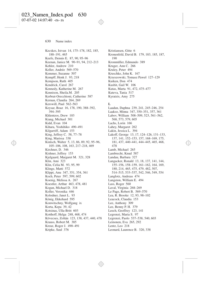023\_Namen\_Index.pod 630

07-07-02 14:07:40 -rs- rs

630 Name index

Kecskes, Istvan 14, 175–178, 182, 185, 188–191, 465 Keefe, Dennis E. 87, 90, 95–96 Keenan, Janice M. 90–91, 94, 212–213 Kehler, Andrew 210 Keller, Andrée 569–570 Kemmer, Suzanne 507 Kempff, Henk J. 93, 218 Kempson, Ruth 405 Kendrick, Carol 267 Kennedy, Katherine M. 267 Kennison, Sheila.M. 205 Kerbrat-Orecchioni, Catherine 587 Kernan, Claudia 264, 269 Kerswill, Paul 562–563 Keysar, Boaz 16, 178, 190, 388–392, 394–395 Khlentzos, Drew 103 Kiang, Michael 301 Kidd, Evan 104 Kihara, Yoshihiko 490–491 Kilgarriff, Adam 153 King, Jeffrey C. 58, 77–78 King, Marissa 338 Kintsch, Walter 5, 13, 86, 89, 92, 95–96, 105–106, 108, 163, 217–218, 469 Kirchner, D. 346 Kishner, Jeffrey 153 Kjelgaard, Margaret M. 321, 328 Klin, Ami 323 Klin, Celia M. 93, 95, 99 Klinge, Matti 572 Klippi, Anu 347, 351, 354, 361 Koch, Peter 597, 599, 602 Koenig, Melissa A. 267 Koestler, Arthur 463, 478, 481 Kogan, Michael D. 318 Koller, Veronika 446 Kolodner, Janet L. 93 König, Ekkehard 595 Konwitschny, Wolfgang ix Korta, Kepa 39, 42 Kotsinas, Ulla-Britt 603 Kotthoff, Helga 248, 468, 474 Kövecses, Zoltán 123, 138, 437, 440, 478 Krauss, Robert M. 385 Kreuz, Roger J. 490–491 Kripke, Saul 376

Kristiansen, Gitte 6 Kronenfeld, David B. 179, 183, 185, 187, 190 Kronmüller, Edmundo 389 Kruger, Ann C. 266 Kruley, Peter 494 Kruschke, John K. 167 Krzeszowski, Tomasz Paweł 127–129 Kuiken, Don 474 Kusbit, Gail W. 106 Kutas, Marta 91, 472, 475–477 Kuteva, Tania 517 Kyratzis, Amy 275

#### **L**

Laadan, Daphna 239, 241, 245–246, 254 Laakso, Minna 347, 350–351, 357, 361 Labov, William 508–509, 523, 561–562, 568, 573, 579, 605 Lachs, Lorin 166 Lahey, Margaret 262 Lakin, Jessica L. 394 Lakoff, George 13, 17, 124–126, 131–133, 137, 141, 152–153, 157, 168–169, 175, 181, 437, 440–441, 444–445, 465, 468, 478 Lamb, Michael 265 Lambrecht, Knud 587 Landau, Barbara 327 Langacker, Ronald 13, 18, 137, 141, 144, 155–156, 158–159, 161–162, 164, 169, 180, 214, 465, 475, 479, 482, 507, 514–515, 533–537, 542, 546, 549, 554 Langlotz, Andreas 474 Langston, William E. 494 Lass, Roger 560 Laval, Virginia 268–269 Le Page, Robert B. 569–570 Lea, R. Brooke 12, 93, 98–102 Leacock, Claudia 153 Lee, Anthony 309 Lee, Benny P. H. 379 Leech, Geoffrey 123, 141 Legrenzi, Maria S. 97 Legrenzi, Paolo 537–538, 540, 603 Leinonen, Eva 265, 292 Lentz, Leo 218 Leonard, Laurence B. 320, 338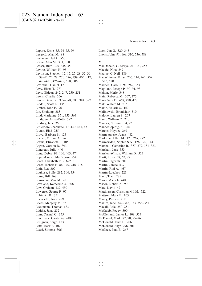023\_Namen\_Index.pod 631 07-07-02 14:07:40 -rs- rs

Name index 631

Lepore, Ernie 55, 74–75, 79 Lesgold, Alan M. 88 Leskinen, Heikki 566 Leslie, Alan M. 331, 388 Lesser, Ruth 345–348, 350 Levine, William H. 95 Levinson, Stephen 12, 17, 25, 28, 32–36, 38–42, 72, 78, 270, 276, 299, 405, 417, 420–421, 426–428, 598, 606 Levinthal, Daniel 177 Levy, Elena T. 273 Levy, Gideon 242, 247, 250–251 Lewis, Charlie 266 Lewis, David K. 377–378, 381, 384, 397 Liddell, Scott K. 135 Limber, John E. 96 Lin, Shuhong 388 Lind, Marianne 351, 353, 363 Lindgren, Anna-Riitta 572 Lindsay, Jane 350 Littlemore, Jeannette 17, 440–441, 451 Livnat, Elad 255 Lloyd, Barbara B. 123 Locher, Miriam A. vii Loftus, Elizabeth F. 105 Logan, Gordon D. 393 Lonergan, Julia 440 Long, Debra 93, 106, 463, 474 Lopez-Cóuso, María José 554 Lorch, Elizabeth P. 216–218 Lorch, Robert F. 86, 107, 216–218 Loth, Eva 309 Loukusa, Soile 292, 304, 334 Louw, Bill 168 Louwerse, Max M. 201 Loveland, Katherine A. 308 Low, Graham 132, 450 Lowerre, George F. 97 Lubinski, R. 351 Lucariello, Joan 269 Lucas, Margery M. 95 Luckmann, Thomas 183 Lüdtke, Jana 252 Lum, Carmel C. 355 Lundmark, Carita 481–482 Lusignan, Serge 153 Lutz, Mark F. 107 Luzzi, Simona 306

Lyon, Jon G. 320, 348 Lyons, John 91, 169, 510, 536, 588

#### **M**

MacDonald, C. Maryellen 100, 252 Mackie, Nina 347 Macrae, C. Neil 189 MacWhinney, Brian 206, 214, 262, 509, 513, 520 Madden, Carol J. 91, 269, 353 Magliano, Joseph P. 90–91, 93 Mahon, Merle 348 Main, Rebecca M. 267, 275 Maio, Sara Di 468, 470, 478 Mak, Willem M. 215 Makin, Valarie S. 167 Malinowski, Bronislaw 510 Malone, Lauren S. 267 Mann, William C. 210 Mannes, Suzanne 94, 221 Manochiopinig, S. 346 Marcos, Haydee 269 Marín-Arrese, Juana 482 Markman, Ellen M. 123, 267, 272 Marmaridou, Sophia S.A. 126, 129, 144 Marshall, Catherine R. 377, 379, 381–383 Marshall, Jane 353 Marslen-Wilson, William D. 523 Martí, Luisa 58, 62, 77 Martin, Ingerith 301 Martin, Janice 537 Martin, Rod A. 467 Martín-Loeches 221 Marx, Traci 275 Masci, Michela 448 Mason, Robert A. 90 Mate, David 42 Matthiessen, Christian M.I.M. 522 Mattson, Mark E. 105 Maury, Pascale 219 Maxim, Jane 347–348, 353, 356–357 Mazali, Rela 250–251 McCaleb, Peggy 300 McClelland, James L. 108, 524 McDaniel, Mark 87, 90, 95–96 McDonald, Janet L. 206 McDonald, Skye 296, 301 McGhee, Paul E. 267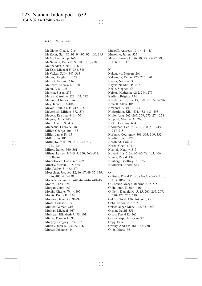632 Name index

McGlone, Chadd. 216 McKoon, Gail 86, 91, 94–95, 97, 106, 395 McMichael, Kipp 166 McNamara, Danielle S. 106, 201, 218 McSpadden, Merrill 106 McTear, Michael F. 264, 346 McVicker, Sally 347, 363 Medin, Douglas L. 167 Meillet, Antoine 516 Meltzoff, Andrew N. 330 Menn, Lise 346 Merkin, Susan 275 Mervis, Caroline 123, 162, 272 Metzing, Charles 386 Mey, Jacob 187–188 Meyer, Bonnie J. F. 217–218 Meyerhoff, Miriam 572–576 Meyers, Kristina 449–450 Meytes, Dalia 240 Miall, David. S. 474 Michaelis, Laura A. 483 Miller, George 106, 153 Miller, James R. 95 Miller, Jim 185 Millis, Keith K. 91, 201, 212, 217, 223–224 Milroy, James 560–561 Milroy, Lesley 346–347, 350, 560–561, 568–569 Mindolovich, Catherine 269 Minsky, Marvin 175, 465 Mio, Jeffrey S. 463, 474 Moeschler, Jacques 12, 16–17, 49, 87, 139, 296, 405, 426–428 Moon, Rosamund E. 440, 443–444, 448–450 Moore, Chris 324 Morgan, Jerry 405 Morris, Charles W. v, 405 Morris, Robin K. 234 Morrow, Daniel G. 91–92 Mross, Ernest F. 95 Mulder, Gerben 216 Mulkay, Michael 467 Mulligan, Elizabeth J. 93, 101 Münte, Thomas F. 91 Murphy, Gregory 169, 387 Murray, John D. 95, 99, 216 Mürter, Johannes ix

Musolff, Andreas 134, 444–445 Musolino, Julien 327 Myers, Jerome L. 86, 90, 93, 95–97, 99, 106, 213, 395

#### **N**

Nakagawa, Noreen 269 Nakamura, Keiko 270, 275, 490 Nassar, Natasha 338 Nayak, Nandini. P. 237 Neale, Stephen 53 Nelson, Katherine 262, 264, 275 Nerlich, Brigitte 134 Nevalainen, Terttu 18, 559, 573, 575–576 Newell, Allen 105 Newport, Elissa L. 323 Nikiforidou, Kiki 471, 482–483, 493 Ninio, Anat 262, 265, 269, 273–274, 278 Nippold, Marilyn A. 268 Nølke, Henning 604 Noordman, Leo 93, 201, 210–213, 215, 217–218 Norbury, Courtenay 301, 303, 309, 332 Nordin, Jonas 572 Nordlund, Taru 572 Norén, Coco 604 Norrick, Neal v, 3–5 Noveck, Ira 5, 39, 65–66, 78, 103, 406 Nunan, David 439 Nunberg, Geoffrey 70, 169 Nuolijärvi, Pirkko 567

#### **O**

O'Brien, David P. 86, 92–93, 96–97, 101, 103, 106–107 O'Connor, Mary Catherine 482, 515 O'Halloran, Kieran 446 O'Neill, Daniela K. 5, 15, 261, 265, 267, 270–273, 275, 619 Oakley, Todd 136, 144, 475, 481 Ochs, Elinor 207, 275 Oelschlaeger, Mary 348, 351, 353 Olsher, David 351 Olson, David R. 265 Oostendorp, Herre van 92 Oppy, Brian J. 106 Ortony, Andrew 161, 163, 250 Otten, Marte 95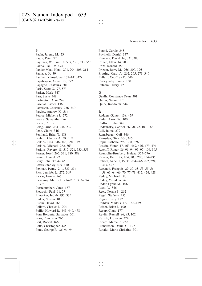023\_Namen\_Index.pod 633 07-07-02 14:07:40 -rs- rs

#### **P**

Pacht, Jeremy M. 234 Pagin, Peter 77 Pagliuca, William 18, 517, 521, 533, 553 Palma, Paul De 494 Pander Maat, Henk 201, 204–205, 214 Panizza, D. 39 Panther, Klaus-Uwe 139–141, 479 Papafragou, Anna 129, 277 Papagno, Costanza 301 Paris, Scott G. 97, 573 Parker, Mark 347 Parr, Susie 348 Partington, Alan 248 Pascual, Esther 136 Patterson, Courtney 236, 240 Pawley, Andrew K. 514 Pearce, Michelle J. 272 Pearce, Samantha 296 Peirce, C.S. v Peleg, Orna 234–236, 239 Penn, Claire 346 Pentland, Brian T. 188 Perfetti, Charles A. 94, 107 Perkins, Lisa 346–348, 350, 359 Perkins, Michael 262, 363 Perkins, Revere 18, 517, 521, 533, 553 Perner, Josef 266, 331, 380, 388 Perrett, Daniel 92 Perry, John 39, 42, 65 Peters, Stanley 409–410 Pexman, Penny 241, 333–334 Pick, Jennifer L. 272, 309 Pickar, Joanne 265 Pickering, Martin J. 214–215, 393–394, 396 Pierrehumbert, Janet 167 Pietroski, Paul 61, 77 Pijnacker, Judith 297, 335 Pinker, Steven 103 Pisoni, David 166 Pollard, Charles J. 204 Pollio, Howard R. 443, 449, 478 Pons Bordería, Salvador 601 Pons, Francisco 266 Port, Robert 166 Potts, Christopher 425 Potts, George R. 86, 91, 94

Name index 633

Pound, Carole 348 Povinelli, Daniel 337 Premack, David 16, 331, 388 Prince, Ellen 14, 203 Prins, Ronald 353 Prizant, Barry M. 266, 300, 326 Prutting, Carol A. 262, 265, 273, 346 Pullum, Geoffrey K. 546 Pustejovsky, James 160 Putnam, Hilary 42

#### **Q**

Qualls, Constance Dean 301 Quinn, Naomi 175 Quirk, Randolph 544

#### **R**

Radden, Günter 138, 479 Rader, Aaron W. 100 Radford, Julie 348 Radvansky, Gabriel 86, 90, 92, 107, 163 Rall, Jaime 272 Ramsberger, Gail 346 Ramsden, Gina 264, 346 Rapin, Isabelle 292, 308, 326 Raskin, Victor 17, 463–469, 476, 479, 494 Ratcliff, Roger 86, 91, 94–95, 97, 106, 395 Raumolin-Brunberg, Helena 575–576 Rayner, Keith 87, 104, 203, 206, 234–235 Reboul, Anne 5, 15, 39, 264–266, 292, 294, 317, 427 Recanati, François 29–30, 38, 53, 55–56, 58, 61, 64–66, 70, 77–78, 412, 424, 428 Reddy, Michael 180 Reddy, Vasudevi 267 Reder, Lynne M. 106 Reed, V. 346 Rees, Norma S. 262 Regel, Stefanie 255 Regier, Terry 127 Reihlen, Markus 177, 188–189 Reiser, Brian J. 100 Rerup, Claus 177 Revlin, Russell 86, 93, 102 Reznik, J. Steven 324 Ricard, Marcelle 272 Richardson, Daniel C. 127 Rinaldi, Maria Christina 301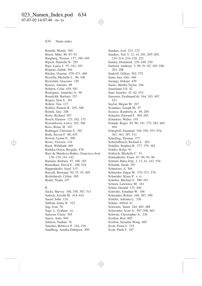023\_Namen\_Index.pod 634 07-07-02 14:07:40 -rs- rs

634 Name index

Rinaldi, Wendy 304 Rinck, Mike 86, 91–93 Ringberg, Torsten 177, 188–189 Ripich, Danielle N. 295 Rips, Lance J. 97, 101, 103 Rispens, Judith 364 Ritchie, Graeme 470–471, 480 Rizzella, Michelle L. 96, 106 Rizzolatti, Giacomo 330 Roazzi, Antonio 98 Roberts, Celia 439, 581 Rodrigues, Amariles A. 98 Roenfeldt, Barbara 357 Rogers, Erin S. 391 Rohrer, Tim 127 Rollins, Pamela R. 295, 308 Rolnik, Guy 248 Rorty, Richard 507 Rosch, Eleanor 123, 162, 175 Rosenbloom, Lewis 292, 308 Ross, Brian. H. 167 Roßnagel, Christian S. 392 Roth, Steven F. 88, 455 Rowan, Lynne E. 300 Rowe, Victoria 134 Ruch, Willibald 469 Rudzka-Ostyn, Brygida 478 Ruiz de Mendoza-Ibáñez, Francisco-José 138–139, 141–142 Rumain, Barbara 97, 100, 103 Rumelhart, David E. 108, 524 Ruppenhofer, Josef 515 Russell, Bertrand 50, 53, 55, 405 Ryckebusch, Celine 269 Ryder, Nuala 297

#### **S**

Sacks, Harvey 348, 350, 387, 511 Sadock, Jerrold M. 414–416 Saeed, John 124 Saffran, Jenny R. 323 Sag, Ivan 70 Sage, L. Graham vii Sainson, Claire 305 Sairio, Anni 569 Salmon, Nathan 76 Sanchez, Rebecca P. 216, 218 Sandberg, Annika Dahlgren 309

Sanders, José 215, 223 Sanders, Ted 5, 12, 14, 201, 203-205, 210–214, 216–218, 222 Sandra, Dominiek 239–240, 250 Sanford, Anthony 5, 89, 91–92, 105–106, 203, 208 Sankoff, Gillian 562, 572 Santa Ana, Otto 446 Sarangi, Srikant 439 Sarno, Martha Taylor 346 Sauerland, Uli 42 Saul, Jennifer 41–42, 474 Saussure, Ferdinand de 164, 183, 407, 521 Saylor, Megan M. 267 Scandura, Joseph M. 97 Scearce, Kimberly A. 89, 204 Schaefer, Edward F. 384–385 Schaeken, Walter 101 Schank, Roger 85, 90, 141, 175, 382, 465, 494 Schegloff, Emanuel 348–350, 353–354, 361, 363, 387, 511 Schelling, Thomas 377 Schiefelbusch, Richard L. 265 Schiffer, Stephen R. 377, 379, 382 Schiltz, Kolja 91 Schleich, Michelle C. 91 Schmalhofer, Franz 87, 90, 94, 96 Schmid, Hans-Jörg 3, 13, 41, 143, 554 Schmidt, Sarah 393 Schmitzer, A 304 Schneider, Edgar W. 570–571, 578 Schneider, Klaus P. v, vi Schober, Michael F. 390–391 Schoen, Lawrence M. 161 Schön, Donald 133, 446 Schooler, Jonathan W. 106 Schreuder, Robert 168, 387, 390 Schuler, Adriana L. 326 Schutz, Alfred 41 Schwartz, Tamir 244, 485, 488 Schwenter, Scott A. 597–598, 601 Schwint, Christopher A. 236 Scollon, Ron 605 Scollon, Suzanne Wong 605 Scott, Fiona J. 318 Scott, Paula J. 207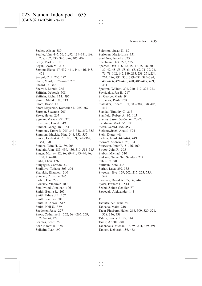023\_Namen\_Index.pod 635 07-07-02 14:07:40 -rs- rs

> Sealey, Alison 580 Searle, John 4–5, 56, 61, 92, 139–141, 168, 238, 262, 330, 346, 376, 405, 409 Seely, Mark R. 106 Segal, Erwin M. 207 Semino, Elena 17, 439–441, 444, 446, 448, 451 Sengul, C. J. 206, 272 Shatz, Marilyn 266–267, 275 Sheard, C. 346 Sherrod, Lonnie 265 Shiffrin, Deborah 508 Shiffrin, Richard M. 395 Shinjo, Makiko 90, 213 Shore, Bradd 181 Short-Meyerson, Katherine J. 265, 267 Shroyer, Suzanne 205 Shwe, Helen 267 Sigman, Marian 271, 325 Silverman, David 349 Simmel, Georg 183–184 Simmons, Tamra P. 295, 347–348, 352, 355 Simmons-Mackie, Nina 348, 352, 355 Simon, Herbert A. 5, 105, 359, 361–362, 364, 390 Simons, Wim H. G. 89, 205 Sinclair, John 185, 439, 456, 510, 514–515 Singer, Murray 12, 86, 89–91, 93–94, 96, 102, 106–108 Sinha, Chris 136 Sinigaglia, Corrado 330 Sitnikova, Tatiana 303–304 Skarakis, Elizabeth 300 Skinner, Christine 346 Slobin, Dan 275 Sloutsky, Vladimir 100 Smallwood, Jonathan 106 Smith, Benita R. 265 Smith, Edward E. 167 Smith, Jennifer 581 Smith, K. Aaron. 513 Smith, Neil U. 379 Snedeker, Jesse 277 Snow, Catherine E. 262, 264–265, 269, 273–274, 278 Soames, Scott 76 Soar, Naomi R. 355 Solheim, Ivar 190

Solomon, Susan K. 89 Sorjonen, Marja-Liisa 351 Soulières, Isabelle 323 Speelman, Dirk 223, 525 Sperber, Dan 4–6, 12, 15, 17, 25–28, 30, 37–42, 48, 55, 58, 64–65, 69, 71–72, 74, 76–78, 102, 142, 189, 233, 238, 251, 254, 264, 276, 292, 330, 379–381, 383–384, 405–406, 421–426, 428, 485–487, 489, 491 Spooren, Wilbert 201, 210–212, 222–223 Spyridakis, Jan H. 217 St. George, Marie 94 St. James, Paula 268 Stalnaker, Robert. 191, 383–384, 398, 405, 412 Standal, Timothy C. 217 Stanfield, Robert A. 92, 105 Stanley, Jason 58–59, 62, 77–78 Steedman, Mark 55, 106 Steen, Gerard 456–457 Stefanowitsch, Anatol 524 Stein, Dieter vii Stelma, Juurd 442–444, 449 Stewart, Andrew J 93, 104 Strawson, Peter F. 51, 76, 409 Stroop, John R. 393 Stubbs, Michael 510 Stukker, Ninke, Ted Sanders 214 Suh, S. Y. 90 Sullivan, Kate 338 Surian, Luca 297, 335 Sweetser, Eve 129, 202, 215, 223, 535, 549 Swinney, David A. 55, 86, 244 Syder, Frances H. 514 Szabó, Zoltan Gendler 77 Szwedek, Aleksander 144

#### **T**

Taavitsainen, Irma vii Taboada, Maite 210 Tager-Flusberg, Helen 268, 309, 320–321, 328, 336, 338 Talmy, Leonard 129, 144 Tamir, Ariella 240 Tanenhaus, Michael 16, 95, 204, 389–391 Tannen, Deborah 186, 463

Name index 635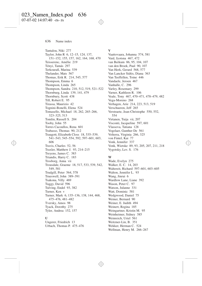07-07-02 14:07:40 -rs- rs

636 Name index

Tantalou, Niki 277 Taylor, John R 6, 12–15, 124, 137, 151–152, 155, 157, 162, 164, 168, 470 Teisserenc, Amélie 219 Tényi, Tamás 297 Terkourafi, Marina 539 Thelander, Mats 567 Thomas, Erik R. 214, 545, 577 Thompson, Emma 6 Thompson, Linda 265 Thompson, Sandra 210, 512, 519, 521–522 Thornburg, Linda 139, 141, 479 Thornbury, Scott 438 Till, Robert E. 95 Tirassa, Maurizio 42 Tognini-Bonelli, Elena 524 Tomasello, Michael 18, 262, 265–266, 323–325, 513 Tomlin, Russell S. 204 Tooby, John 55 Torres Cacoullos, Rena 601 Trabasso, Thomas 90, 212 Traugott, Elizabeth Closs 18, 535–539, 541–543, 545–554, 592, 597–601, 603, 606 Travis, Charles 52, 56 Traxler, Matthew J. 93, 214–215 Treyens, James C. 383 Triandis, Harry C. 183 Trosborg, Anna vii Trousdale, Graeme 18, 517, 533, 539, 542, 549, 581 Trudgill, Peter 564, 578 Trueswell, John 389–391 Tsakona, Villy 469 Tuggy, David 596 Tulving, Endel 93, 382 Turner, Ken v Turner, Mark 6, 135–136, 138, 144, 468, 475–476, 481–482 Tversky, Amos 98 Tyack, Dorothy 275 Tyler, Andrea 152, 157

#### **U**

Ungerer, Friedrich 13 Urbach, Thomas P. 475–476

#### **V**

Vaattovaara, Johanna 574, 581 Vaid, Jyotsna 467, 472 van Berkum 86, 95, 104, 107 van den Broek, Paul 90, 107 Van Herk, Gerard 568, 577 Van Lancker Sidtis, Diana 363 Van Teeffellen, Toine 446 Vandaele, Jeroen 467 Vanhalle, C. 296 Varley, Rosemary 299 Varner, Kathleen R. 106 Veale, Tony 467, 470–471, 478–479, 482 Vega-Moreno 268 Verhagen, Arie 214, 223, 513, 519 Verschueren, Jeff 265 Verstraete, Jean-Christophe 550, 552, 554 Virtanen, Tuija vii, 207 Visconti, Jacqueline 597, 601 Vlassova, Tatiana 128 Vogelaer, Gunther De 561 Volterra, Virginia 266, 325 von Fintel, Kai 77 Vonk, Jennifer 337 Vonk, Wietske 89, 93, 205, 207, 211, 218 Vygotsky, Lev. S. 176

#### **W**

Wade, Evelyn 275 Walker, E. C. 14, 203 Waltereit, Richard 597–601, 603–605 Walton, Jennifer L. 93 Wang, Jinrui 6 Wardlow Lane, Liane 392 Wason, Peter C. 97 Watson, Julanne 331 Watt, Dominic 581 Wedgwood, Daniel 75 Weiner, Bernard 90 Weiner, E. Judith 494 Weinert, Regina 185 Weingartner, Kristin M. 95 Weinheimer, Sidney 385 Weinreich, Uriel 561 Weitzner-Lin, B. 351 Wekker, Herman C. 524 Wellman, Henry M. 266–267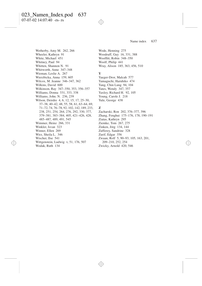023\_Namen\_Index.pod 637 07-07-02 14:07:40 -rs- rs

> Wetherby, Amy M. 262, 266 Wheeler, Kathryn 91 White, Michael 451 Whitney, Paul 94 Whitten, Shannon N. 91 Whitworth, Anne 347–348 Wieman, Leslie A. 267 Wierzbicka, Anna 159, 605 Wilcox, M. Jeanne 346–347, 362 Wilkins, David 600 Wilkinson, Ray 347–350, 353, 356–357 Williams, Donna 331, 333, 338 Williams, John. N. 236, 239 Wilson, Deirdre 4, 6, 12, 15, 17, 25–30, 37–38, 40–42, 48, 55, 58, 61, 63–64, 69, 71–72, 74, 76–78, 92, 102, 142, 189, 233, 238, 251, 254, 264, 276, 292, 330, 377, 379–381, 383–384, 405, 421–426, 428, 485–487, 489, 491, 545 Wimmer, Heinz 266, 331 Winkler, Isvan 323 Winner, Ellen 269 Wirz, Sheila L. 346 Wischer, Ilse 541 Wittgenstein, Ludwig v, 51, 176, 507 Wodak, Ruth 134

Name index 637

Wode, Henning 275 Woodruff, Guy 16, 331, 388 Wooffitt, Robin 348–350 Woolf, Philip 441 Wray, Alison 185, 363, 456, 510

# **Y**

Yaeger-Dror, Malcah 577 Yamaguchi, Haruhiko 474 Yang, Chin Lung 94, 104 Yates, Wendy 347, 357 Yaxley, Richard H. 92, 105 Young, Carole J. 218 Yule, George 438

#### **Z**

Zacharski, Ron 202, 376–377, 396 Zhang, Fenghui 175–176, 178, 190–191 Ziatas, Kathryn 295 Ziemke, Tom 267, 275 Zinken, Jörg 134, 144 Zufferey, Sandrine 328 Zurif, Edgar 356 Zwaan, Rolf 5, 90–93, 105, 163, 201, 209–210, 252, 254 Zwicky, Arnold 420, 546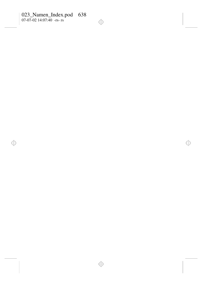023\_Namen\_Index.pod 638 07-07-02 14:07:40 -rs- rs

 $\bigoplus$ 

 $\bigoplus$ 

 $\bigoplus$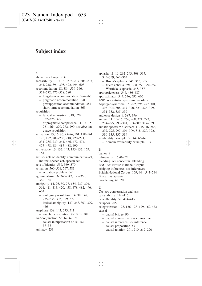023\_Namen\_Index.pod 639 07-07-02 14:07:40 -rs- rs

# **Subject index**

#### **A**

abductive change 514 accessibility 9, 14, 73, 202–203, 206–207, 241, 248, 391, 395, 422, 494, 603 accommodation 18, 384, 559–566, 571–572, 577–578, 580 – long-term accommodation 564–565 – pragmatic accommodation 398 – presupposition accommodation 384 – short-term accommodation 565 acquisition – lexical acquisition 318, 320, 322–326, 329 – of pragmatic competence 11, 14–15, 261, 264–270, 272, 299 *see also* language acquisition activation 13, 16, 86, 95–96, 101, 158–161, 175, 182, 202–206, 218, 220–221, 234–235, 239, 241, 466, 472, 474, 477–478, 484, 487–488, 490 active zone 13, 137, 143, 155–157, 159, 161 act *see* acts of identity, communicative act, indirect speech act, speech act acts of identity 559, 569–570 actuation 560–561, 567, 581 – actuation problem 561 agrammatism 16, 346–347, 353–359, 362–364 ambiguity 14, 26, 50, 77, 154, 237, 304, 361, 411–413, 420, 458, 478, 482, 496, 602 – ambiguity resolution 14, 38, 142, 235–236, 303, 309, 377 – lexical ambiguity 137, 268, 303, 309, 466 anaphora 138, 143, 273, 511 – anaphora resolution 9–10, 12, 88 *and*-conjunction 58, 62, 67, 78 – causal interpretation of 51–52, 57–58 animacy 233

aphasia 11, 16, 292–293, 308, 317, 345–359, 362–363 – Broca's aphasia 345, 353, 355 – fluent aphasia 294, 308, 353, 356–357 – Wernicke's aphasia 345, 357 appropriateness 346, 486–487 approximator 544, 546, 592, 606 ASD *see* autistic spectrum disorders Asperger syndrome 15, 292, 295, 297, 301, 303–304, 308, 317–320, 323, 326–329, 331–332, 335–339 audience design 9, 387, 396 autism 11, 15–16, 266, 268, 271, 292, 294–295, 297–301, 303–309, 317–339 autistic spectrum disorders 11, 15–16, 266, 292, 295, 297, 304–309, 318–320, 322, 330–335, 337–339 availability principle 38, 64, 66–67 – domain availability principle 139

#### **B** banter 9

bilingualism 570–571 blending *see* conceptual blending BNC *see* British National Corpus bridging inferences *see* inferences British National Corpus 169, 444, 543–544 Broca *see* aphasia broadening 61, 70

#### **C**

CA *see* conversation analysis calculability 414–415 cancellability 52, 414–415 cataphor 205 categorization 123, 126, 128–129, 162, 472 causal

- causal bridge 90
- causal connective *see* connective
- causal inference *see* inference
- causal proposition 87
- causal relation 201, 210, 212–220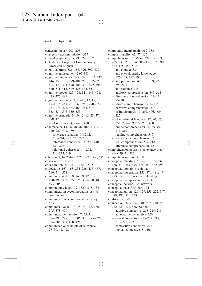07-07-02 14:07:40 -rs- rs

640 Subject index

centering theory 203–205 change-by-accommodation 577 clinical pragmatics 5, 291, 298, 307 COCA *see* Corpus of Contemporary American English cognitive effort 381, 388, 390, 392, 422 cognitive environment 380–381 cognitive linguistics 4–5, 13–14, 124, 142, 144, 157, 175, 179–181, 220, 222–223, 464, 470, 474, 478, 484, 490, 492, 494, 510–511, 515, 519, 525, 534, 553 cognitive model 125–126, 141, 143, 471, 475–476, 481 cognitive pragmatic 3, 10–11, 13, 15, 17–18, 56–57, 221, 263, 266, 270–272, 274, 276–277, 463–464, 484, 507, 533–534, 548–550, 553 cognitive principle 8, 10–13, 15, 23, 37, 278, 477 – of relevance 4, 27–28, 428 coherence 9, 14, 86–90, 96, 107, 201–203, 210–222, 449, 469 – coherence relations 14, 202, 210–214, 217, 220, 222 – referential coherence 14, 202–210, 220, 222 – relational coherence 14, 202, 210–213, 219 cohesion 9, 14, 201–202, 210, 273, 306, 336 cohesive tie 88, 202 collaboration 5, 102, 219, 510, 522 collocation 167–168, 234–236, 455–457, 510, 514, 551 common ground 5, 9, 16, 59, 177, 186, 190–193, 303, 325, 375, 382–398, 487, 493, 605 common knowledge 191, 329, 378, 382 communication accommodation *see* accommodation communication accommodation theory 563 communicative act 13, 48, 76, 123, 186, 295, 378, 490 communicative intention 7, 55, 71, 294–295, 297, 301, 306, 336, 375–376, 384–385, 387, 408, 426 communicative principle of relevance 27–30, 41, 428

community membership 382–383 compositionality 62, 77, 155 comprehension 15, 56, 61, 76, 127, 153, 235, 237, 299, 304, 308–309, 387, 390, 422, 475, 488, 507 – and context 384 – and encyclopaedic knowledge 176–178, 192–193 – and production 42, 176, 269, 272, 390, 507 – and salience 235 – auditory comprehension 345, 364 discourse comprehension 12–13, 85–108 – idiom comprehension 301–302 narrative comprehension 206-207 – of implicatures 17, 297, 406, 409, 425 – of non-literal language 17, 70, 87, 255, 268–269, 272, 293, 488 – online comprehension 66, 69–70, 216–219 – reading comprehension 345 – speech act comprehension 295 – text comprehension 217–218 – utterance comprehension 42 comprehension heuristic (relevance-theoretic) 29–31, 422 comprehension time 88, 90 conceptual blending 6, 12–13, 135–136, 138, 143, 464, 475–476, 480–482, 491 conceptual domain *see* domain conceptual integration 135, 470, 481, 491, 493 *see also* conceptual blending conceptual metaphor *see* metaphor conceptual network *see* network conceptual pact 385–386, 394 conceptualization 126, 129, 158, 222, 397, 478, 482, 526, 533 conformity 559 connective 18, 51–52, 101, 202, 210–220, 222–223, 427, 538, 589, 600 – additive connective 213–214, 219 – adversative connective 220

- causal connective 213–214, 217, 219–220, 222
- contrastive connective 222
- logical connective 51, 101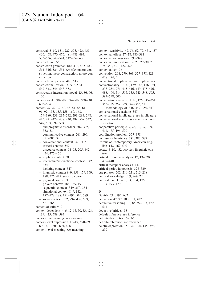- construal 3–19, 131, 222, 373, 423, 435, 466, 468, 470, 476, 481–483, 493,
- 533–536, 542–544, 547–554, 605
- construct 548, 550
- construction grammar 180, 478, 482–483, 514–516, 524, 554 *see also* macro-construction, meso-construction, micro-construction
- constructional pattern 483, 515
- constructionalization 18, 533–534, 542–543, 546, 548–553
- construction-integration model 13, 86, 96, 106
- content-level 590–592, 594–597, 600–601, 603–604
- context 27–29, 39–40, 48, 51, 58–61, 91–92, 153, 155, 158, 160, 168, 179–180, 233, 235–242, 293–294, 298,
	- 413, 421–424, 438, 440, 489, 507, 542,
	- 547, 553, 592, 594
	- and pragmatic disorders 302–305, 332–334
	- communicative context 261, 296, 381–385, 390
	- conversational context 267, 375
	- critical context 547
	- discourse context 94–95, 205, 447, 454, 475–476
	- implicit context 38
	- interactive/interactional context 142, 354
	- isolating context 547
	- linguistic context 8–9, 153, 159, 169, 188, 376, 412 see also cotext
	- physical context 376
	- private context 188–189, 191
	- sequential context 349–350, 354
	- situational context 8–9, 142, 177–178, 188, 191–192, 510, 589
	- social context 262, 294, 439, 509, 561, 565
- context of culture 9
- context-dependent 4, 6, 12, 15, 50, 53, 124, 139, 425, 589, 593
- context-free meaning *see* meaning
- context-level expression 18–19, 590–598, 600–601, 603–604, 606
- context-level meaning *see* meaning
- context-sensitivity 47, 56, 62, 79, 451, 457
- contextual effect 27–28, 380–381
- contextual expressions 397–398
- contextual implication 12, 27, 29–30, 71, 78, 380, 421–422, 426
- contextualism 36
- convention 268, 270, 363, 377–378, 421, 428, 474, 514
- conventional implicature *see* implicatures conventionality 18, 40, 139, 143, 156, 191, 233–234, 271, 415–416, 449, 475–476, 488, 494, 514, 517, 533, 543, 548, 595,
- 597–598, 600 conversation analysis 11, 16, 176, 345–351,
- 353–355, 357, 359, 362–363, 511 – methodology of 346, 349–350, 357
- conversational coaching 347
- conversational implicature *see* implicature conversational maxim *see* maxim of con-
- versation
- cooperative principle 9, 26, 32, 37, 129, 411, 485–496, 590
- coordination problem 377–378
- copresence heuristics 381, 383, 387
- Corpus of Contemporary American English 142, 169, 540
- cotext 8–10, 452 *see also* linguistic context
- critical discourse analysis 17, 134, 205, 439–440
- critical metaphor analysis 447
- critical period hypothesis 328–329
- cue phrases 202, 210–211, 215–218
- cultural knowledge 7, 9, 269, 273
- cultural model 9–10, 14, 134, 175, 177–193, 479

#### **D** Danish 594, 595, 602

- deduction 42, 97, 100, 101, 422
- deductive reasoning 13, 85, 97–103, 422, 514
- deductive bridges 98
- default inference *see* inference
- definite description 59, 66
- definite reference *see* reference
- deictic expression 15, 124–126, 135, 293, 299
-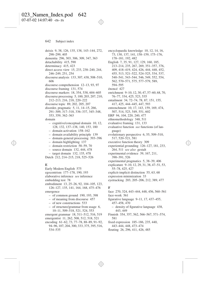07-07-02 14:07:40 -rs- rs

642 Subject index

deixis 9, 38, 126, 135, 138, 143–144, 272, 298–299, 405 dementia 296, 303, 306, 309, 347, 363 detachability 415, 590 determinacy 415, 423 direct access view 15, 233, 238–240, 244, 246–249, 251, 254 discourse analysis 133, 307, 438, 508–510, 606 discourse comprehension 12–13, 93, 97 discourse framing 131, 574 discourse markers 18, 354, 538, 604–605 discourse processing 5, 100, 203, 207, 210, 212–213, 216, 218, 220–222 discourse topic 89, 202, 205, 207 disorder, pragmatic 5, 11, 14–15, 266, 291–309, 317–318, 336–337, 345–348, 353, 359, 362–363 domain – cognitive/conceptual domain 10, 12, 128, 132, 137–138, 140, 153, 180 – domain activation 158–162 – domain availability principle 139 – domain-general processing 393–396 – domain highlighting 137 – domain restriction 58–59, 70 – source domain 132, 444, 478 – target domain 132, 135, 478 Dutch 212, 214–215, 218, 525–526

#### **E**

Early Modern English 575 egocentrism 177–178, 190, 193 elaborative inference *see* inference embedding test 78 embodiment 13, 25–26, 92, 104–105, 123, 126–127, 135, 141, 164, 168, 475–476 emergence – of common ground 190, 193, 398 – of meaning from discourse 457

– of new constructions 533

– of structure/grammar from usage 6, 10–11, 509–518, 521, 524, 553

emergent grammar 18, 511–512, 516, 519 emergentist 11, 262, 508, 512, 518, 521 encoding 61–62, 73, 77–78, 88–89, 91–92, 94–96, 107, 204, 300, 333, 375, 395, 516,

534–535

encyclopaedic knowledge 10, 12, 14, 16, 73, 130, 137, 141, 158–159, 175–176, 178–181, 192, 482 English 7, 35, 91, 127, 129, 160, 185, 213–214, 235, 267, 269, 351–357, 376, 409, 418–419, 424, 426, 444, 448, 452, 455, 513, 521–522, 524–525, 534, 537, 540–541, 543–544, 546, 549, 552, 554, 562, 570–571, 575, 577–579, 589, 594–595 énoncé 427 enrichment 9–10, 12, 30, 47, 57–60, 68, 70, 76–77, 334, 425, 523, 535 entailment 34, 72–74, 78, 87, 151, 155, 417, 425, 444–445, 447, 593 entrenchment 10, 17, 143, 159, 169, 474, 507, 514, 523, 549, 551, 602 ERP 94, 104, 220, 240, 477 ethnomethodology 348, 511 evaluative framing 131, 133 evaluative function *see* functions (of language) evolutionary perspective 6, 55, 509–510, 517, 520–521, 581 executive function theory 309 experiential grounding 126–127, 181, 233, 264, 511 *see also* gestalt experimental evidence 39, 167, 211, 390–391, 526 experimental pragmatics 5, 38–39, 406 explicature 9–10, 12, 29, 31, 38, 47–51, 53, 55–78, 425, 427 explicit-implicit distinction 55, 63, 68 expression minimization 33 eyetracking 203, 205–206, 212, 389, 477

#### **F**

face 270, 324, 443–444, 448, 456, 560–561 face-work 561 figurative language 9–11, 17, 437–455, 457–458, 470 – density of figurative language 438, 443, 449 Finnish 354, 357, 562, 566–567, 571–574, 581 fixed expression 185–186, 235, 440, 443–444, 448, 473–474 flouting 26, 296, 411, 426, 485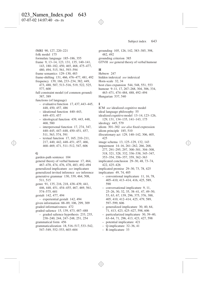- fMRI 90, 127, 220–221
- folk model 175
- formulaic language 185–186, 355
- frame 9, 13–14, 123, 131, 135, 140–141, 143, 180–182, 450, 465, 468, 475–477, 480, 494, 515, 561, 593–594
- frame semantics 129–130, 483
- frame-shifting 131, 466, 476–477, 481, 492
- frequency 139, 166, 233–234, 382, 449, 473, 488, 507, 513–516, 519, 522, 525, 577, 600
- full constraint model (of common ground) 387, 389
- functions (of language)
	- evaluative function 17, 437, 443–445, 448, 450, 457, 486
	- ideational function 440–443, 449–453, 457
	- ideological function 439, 443, 448, 468, 580
	- interpersonal function 17, 274, 347, 440–445, 447–448, 450–451, 457, 511, 563, 574, 591
	- textual function 17, 165, 210–211, 217, 440, 442, 448–451, 457, 466, 468–469, 471, 511–512, 547, 606

#### **G**

garden-path sentence 104

- general theory of verbal humour 17, 464, 467–470, 474, 476, 478, 483, 492–494 generalized implicature *see* implicature generalized invited inference *see* inference generative grammar 130, 339, 464, 508, 511, 515
- genre 91, 135, 216, 218, 438–439, 441, 446, 448, 451, 454–455, 467, 469, 561, 574–575, 601
- gestalt 142, 477, 494
- experiential gestalt 142, 494
- given information 88–89, 106, 299, 309
- graded informativeness 472
- graded salience 15, 139, 473, 487–488
- graded salience hypothesis 233, 235, 238–240, 244, 247–248, 251, 254
- grammatical form 456
- grammaticalization 18, 516–517, 533–542, 547–549, 552–553, 603–604
- grounding 105, 126, 142, 383–385, 398, 482, 492
- grounding criterion 385
- GTVH *see* general theory of verbal humour

### **H**

**I**

- Hebrew 247
- hidden indexical *see* indexical Horn-scale 32, 34
- host class expansion 544, 548, 551, 553
- humour 9–11, 17, 267–268, 304, 306, 334,
- 463–471, 474–484, 488, 492–494

Hungarian 537, 540

- ICM *see* idealized cognitive model ideal language philosophy 55
- idealized cognitive model 13–14, 123–126,
- 129, 131, 134–135, 141–143, 175
- ideology 445, 579
- idiom 301–302 *see also* fixed expression
- idiom principle 185, 510
- illocutionary act 129, 140–142, 306, 405, 425
- image schema 13, 125–129, 132, 143
- impairment 14–16, 261–262, 266, 268, 277, 291–295, 297, 300–301, 304–308, 318, 321, 328, 332, 336–338, 345–347, 353–354, 356–357, 359, 362–363
- implicated conclusion 29–30, 48, 73–74, 422, 425–426
- implicated premise 29–30, 73, 78, 425
- implicature 49, 74, 405
	- conventional implicature 11, 16, 78, 405–410, 413–414, 416, 425, 589, 590
	- conversational implicature 9, 11, 25–26, 30, 32, 35, 38–41, 47, 49–50, 53, 63, 67, 139, 296, 375, 376, 388, 405, 410, 412–414, 425, 479, 589, 597–599, 606
	- generalized implicature 30, 40, 64, 71, 413, 423, 425–427, 598, 606
	- particularized implicature 30, 39–40, 63–64, 71, 296, 413, 423, 427, 598
	- potential implicature 421
	- Q-implicature 32–36, 41
	- R-implicature 33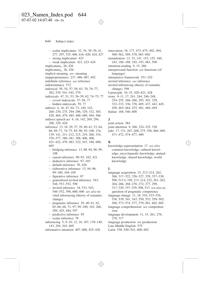– scalar implicature 32, 34, 38–39, 41, 277, 297, 335, 406, 416–420, 424, 427 – strong implicature 423 – weak implicature 421, 423–424 implicature $_F$  26, 426 implicature $_0$  26, 426 implicit meaning *see* meaning inappropriateness 237, 486–487, 492 indefinite reference *see* reference indeterminacy 572 indexical 50, 54, 57–58, 63, 70, 76–77, 302, 539, 541–542, 579 indexicals 47, 51, 53, 56–59, 62, 74–75, 77 – covert indexicals 57–58, 77 – hidden indexicals 59, 77 indirect 4, 16, 47, 64, 73, 140, 142, 268–270, 275, 294–296, 329, 332, 385, 420, 464, 479, 485, 488–489, 494, 568 indirect speech act 4, 16, 142, 269, 294, 296, 329, 420 inference 13, 18, 29, 37, 39, 40–41, 53, 64, 66, 69–71, 74–75, 85–90, 93–108, 134, 139, 141, 211–212, 215, 219, 268, 334, 376–377, 380–381, 388, 406, 408, 421–422, 479, 483, 522, 547, 548, 600, 605 – bridging inference 13, 88–94, 96, 99, 108 – causal inference 90–93, 102, 421 – deductive inference 97–103 – default inference 39, 426 – elaborative inference 13, 94–96, 99–100, 104–105 – figurative inference 87 – generalized invited inference 543, 548, 551–552, 598 – invited inference 18, 533, 543, 546–552, 598, 600, 606 *see also* invited inferencing (theory of semantic change)  $-$  pragmatic inference 29, 40–41, 62, 65–66, 68, 71, 97, 99–100, 102, 266,

- 299, 425, 484, 597 – predictive inference 95
- 
- scalar inference 78
- inferencing 5, 9–10, 12, 16, 107, 139–140, 143, 294, 543, 605
- informative intention 407–408, 425–426

innovation 18, 177, 473–475, 492, 494, 560–562, 569, 578, 601–602 instantiation 13, 33, 141, 153, 155, 160, 163, 186–188, 192–193, 483, 598 intention-reading 9, 15, 266 interpersonal function *see* functions (of language) interpretive framework 351–352 invited inference *see* inference invited inferencing (theory of semantic change) 598 I-principle 34–35, 420–421, 428 irony 9–11, 17, 241, 244, 246–248, 254–255, 266–268, 293, 301, 329, 332–333, 336, 376, 405, 437, 443, 445, 458, 463–464, 475, 481, 484–494

Italian 168, 540, 600

#### **J**

- joint action 384
- joint attention 9, 266, 324–325, 328
- joke 17, 131, 267–268, 275, 356, 466–469, 471–472, 474–477, 480

#### **K**

knowledge representation 17 *see also* common knowledge, cultural knowledge, encyclopaedic knowledge, mutual knowledge, shared knowledge, world knowledge

#### **L**

- language acquisition 15, 213–214, 262, 266, 317–322, 326–327, 329, 337–338, 508, 513 4, 199, 213–214, 222, 261–262, 264–266, 268–270, 272, 277, 299, 317–329, 337–339, 508, 513 *see also* acquisition of pragmatic competence
- language change 11, 18, 510, 533–534, 536, 539, 541, 543, 550, 553, 559–565, 568, 573–574, 577, 579–581, 602, 605
- language comprehension *see* comprehension
- language development 11, 15, 261, 276, 278, 317
- language production *see* production
- Late Middle English 575
- Latin 538, 540–541, 600, 602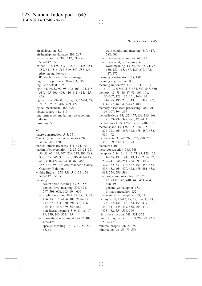left-dislocation 587 left-hemisphere damage 293, 297 lexicalization 18, 300, 517, 533–535, 537–542, 553 lexicon 162, 175, 337–338, 417, 425, 454, 482, 511, 516, 518–519, 540, 587 *see also* mental lexicon LHD *see* left-hemisphere damage linguistic copresence 382–383, 385 linguistic cotext 8–9 logic 41, 49, 52, 97–98, 102–103, 124, 335, 389, 405–406, 408, 410–411, 414, 425, 468 logical form 29–30, 51, 55, 58, 62–64, 69, 71, 73, 75, 77, 407, 409, 422 logical mechanism 468, 470 logical square 418–419 long-term accommodation *see* accommodation loosening 538

#### **M**

macro-construction 543, 551

- Manner (maxim of conversation) 26, 31–32, 411, 420
- marked informativeness 471–474, 494
- maxim of conversation 12, 25–26, 31–37, 50, 53, 67, 139, 207, 269, 278, 296–298, 306, 335, 346, 376, 381, 386, 411–415, 418, 420–422, 426–428, 463, 465, 485–487, 590 *see also* Manner, Quality, Quantity, Relation

Middle English 358–359, 540–541, 544, 546–547, 551, 575

- meaning
	- context-free meaning 47, 53, 55
	- context-level meaning 592, 594, 597–598, 601, 603–604, 606
	- implicit meaning 8–9, 29, 38, 47, 87, 106, 133, 155–156, 181, 211–213, 217–220, 234, 330, 394, 396, 406, 425, 444, 446, 489, 550, 562
	- $-$  non-literal meaning 8–9, 11, 16–17, 19, 139, 240, 373, 435
	- $-$  non-natural meaning 405–407, 409, 425–426
	- speaker meaning 36–37, 42, 53–54, 63, 69

Subject index 645

- truth-conditional meaning 410, 417, 588, 606
- utterance meaning 49, 64, 141
- utterance-type meaning 40
- word meaning 13, 56, 60–62, 74, 77, 130, 152, 165, 167, 180, 272, 305, 447, 477
- meaning construction 178, 188
- meaning negotiation 383
- meaning-in-context 3–8, 10–11, 13–14,
- 16–17, 373, 505, 533–534, 547–548, 550
- memory 13, 78, 86-87, 98, 100-101,
	- 106–107, 123, 135, 161, 166–167, 184–185, 190, 210, 213, 317, 382, 387,
	- 394–397, 469, 475–477, 480
- memory-based (text processing) 86, 101, 106–107, 394–397
- mental lexicon 33, 152–157, 159, 165–168, 179, 233–234, 397, 471, 473–474
- mental model 85, 175–177, 181–182, 188 mental space 14, 126, 135–136, 215,
- 222–223, 464, 468, 475, 478, 480, 482, 490–492
- mental state 3, 8–9, 265, 267, 270, 273, 302, 329–330, 336, 394
- mentalese 103
- meso-construction 543, 548
- metaphor 5, 9, 12–13, 17, 71, 87, 123, 127, 131–135, 137, 141, 143, 157, 236–237, 239–241, 248–251, 254, 293, 300–301, 329, 332–333, 336, 437–451, 453–454,
	- 456–458, 464, 470, 472, 478, 481–483,
	- 493, 554, 596, 599
	- conceptual metaphor 17, 127, 131–135, 143, 440, 447, 451, 454, 478, 493
	- generative metaphor 133
	- primary metaphor 132
- systematic metaphor 449, 451 metonymy 9, 12–13, 17, 59, 70–71, 123,
- 125, 137–141, 143, 154–159, 437,
	- 440–441, 445, 449, 458, 464, 470,
	- 478–482, 554, 596, 599
- micro-construction 548, 551–552
- mindful pragmatics 15, 263, 265, 271–272, 276–277
- minimal proposition 74–75
- minimalism 36, 55, 79, 596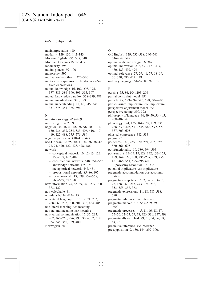misinterpretation 480 modality 129, 136, 142–143 Modern English 536, 538, 540 Modified Occam's Razor 417 modularity 398 modus ponens 99–100 monosemy 595 motivation hypothesis 325–326 multi-word expressions 18, 587 *see also* fixed expressions mutual knowledge 16, 102, 293, 375, 377–383, 386–390, 393, 395, 397 mutual knowledge paradox 378–379, 381 mutual manifestness 380, 383 mutual understanding 11, 16, 345, 348, 351, 375, 384–385, 396

#### **N**

narrative strategy 468–469 narrowing 61–62, 69 negation 34–36, 67–68, 76, 98, 100–101, 130, 236, 252, 254, 335, 406, 410, 417, 419, 427, 488, 575–576, 589 negative particular 418–419, 427 neo-Gricean 12, 25, 30–31, 34, 36, 38–42, 72, 74, 420, 422–423, 428, 486 network  $-$  conceptual network 10, 12–13, 123, 158–159, 167, 482 – constructional network 548, 551–552 – knowledge network 175, 180 – metaphorical network 447, 451 – propositional network 85–86, 105 – social network 18, 539, 559–565, 568–569, 577, 580 new information 27, 88–89, 267, 299–300, 383, 422 non-calculable 414 non-detachable 414–415 non-literal language 8, 15, 17, 71, 233, 268–269, 293, 300–301, 306, 464, 485 non-literal meaning *see* meaning non-natural meaning *see* meaning non-verbal communication 15, 55, 233, 262, 265–266, 276, 297, 305–307, 318, 334, 345, 352, 359, 480

Norwegian 363

#### **O**

Old English 129, 535–538, 540–541, 546–547, 549 optimal audience design 16, 387 optimal innovation 236, 471, 473–477, 480, 483, 492, 494 optimal relevance 27, 29, 41, 57, 68–69, 76, 330, 380, 422, 428 ordinary language 51–52, 89, 97, 105

#### **P**

parsing 55, 86, 104, 203, 206 partial constraint model 391 particle 97, 593–594, 596, 598, 604–606 particularized implicature *see* implicature perspective adjustment model 394 perspective taking 390, 392 philosophy of language 36, 49–50, 56, 405, 408–409, 425 phonology 124, 135, 164–167, 169, 235, 268, 339, 405, 541, 548, 563, 572, 577, 587, 603, 605 physical copresence 382–383 pidgin 570 politeness 142, 255, 270, 294, 297, 329, 560–561, 605 polyfunctionality 19, 589, 594–595 polysemy 9, 13–14, 19, 129, 142, 152–155, 159, 164, 166, 168, 235–237, 239, 255, 451, 466, 551, 595–596, 600 – polysemy resolution 14, 236 potential implicature *see* implicature pragmatic accommodation *see* accommodation pragmatic competence 5, 7, 9–12, 14–15, 23, 138, 263–265, 273–274, 298, 353–355, 357, 363 pragmatic expressions 11, 18, 587–588, 590 pragmatic inference *see* inference pragmatic marker 218, 587–589, 597, 605 pragmatic processes 4–5, 11, 16, 18, 47, 55–56, 62–63, 69, 78, 326, 330, 337, 398 pragmatically enriched 29, 31, 34, 36, 38, 64, 75 predictive inference *see* inference

presupposition 9, 130, 144, 299–300,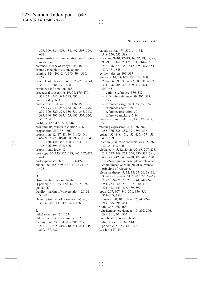307, 309, 384, 405, 484, 492, 598–599, 601

- presupposition accommodation *see* accommodation
- pretence (theory of irony) 484, 489–491
- primary metaphor *see* metaphor
- priming 124, 206, 249, 393–394, 396, 467
- principle of relevance 4, 12, 27–28, 37, 41, 380–381, 384, 422, 428
- privileged information 388
- procedural processing 19, 78, 176, 470, 539, 541–542, 592–593, 597
- procedurality 603
- production 3, 34, 42, 100, 136, 158, 176, 185, 193, 247–248, 268–269, 272, 296, 299–300, 320, 326, 330–331, 345, 348, 387, 390–391, 397, 455, 492, 507, 520, 550, 604
- profiling 137, 478, 533, 546
- pronominal/pronoun resolution 206
- propagation 560–561, 602
- proposition 12, 47–48, 50–61, 63–64, 66–71, 73–79, 86–87, 89, 99–100, 104, 108, 130, 144, 383, 408–410, 412, 421, 423–426, 596–597, 606
- propositional logic 13
- prototype 32, 123–125, 143, 162, 167, 472, 494
- prototypical structure 13, 123–124
- punch line 465–469, 471–472, 474–477, 493

#### **Q**

Q-implicature *see* implicature Q-principle 31–35, 420, 422, 427–428 qualia 160 Quality (maxim of conversation) 26, 31, 34, 411 Quantity (maxim of conversation) 26, 31–32, 386, 411, 420, 427–428

#### **R**

- radial structure 124–125
- radical construction grammar 516
- reading time 94, 104, 203, 205, 209, 211–213, 215–219, 240–241, 244–245, 250, 477, 482

97–99, 101–102, 175, 181, 214–215, 268, 376–377, 388, 412, 425, 427, 454, 470, 481, 548 recipient design 191, 387 reference 14, 38, 105, 137, 156, 160, 202–206, 299, 376–377, 382, 386–387, 391, 396, 405–406–409, 412, 421, 550–551 – definite reference 376, 382

reasoning 9–10, 12–13, 16, 42, 48, 55, 75,

reanalysis 62, 477, 537, 541–543,

548–550, 552, 598

- indefinite reference 89, 205, 537, 575
- reference assignment 59, 69, 334
- reference chain 139
- reference resolution 30
- reference tracking 5, 9
- reference point 141, 156, 181, 272, 479, 536
- referring expression 203, 376, 382, 385–386, 388–389, 391, 395–396
- register 32, 448, 451, 453–455, 457–458, 493, 569
- Relation (maxim of conversation) 25–26, 32, 36, 411, 420
- relevance 4–5, 12, 25–26, 37, 68, 207, 233, 244, 248–249, 251, 254, 330, 333, 381, 405, 421–423, 425–428, 472, 489, 590 *see also* cognitive principle of relevance, communicative principle of relevance, principle of relevance
- relevance theory 5, 12, 15, 25–26, 28–31, 37–40, 42, 47–49, 51, 55–56, 63, 68–69, 71–72, 74–75, 78, 233, 244, 248–249, 251, 254, 264, 292, 307, 330, 333,
	- 421–423, 425–426, 489, 590
- repair 267, 307, 349–351, 356–359, 361–363, 450
- resonance 90, 101, 106–107, 241–242, 247, 395–396, 481
- riddle 267–268, 468
- right-hemisphere damage 15, 292, 296, 299, 301, 304–305
- R-implicature *see* implicature
- routinization 13, 182, 514
- R-principle 31–33, 420, 428
- Russian 127, 144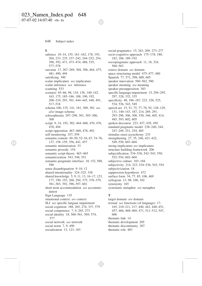#### **S**

salience 10–14, 155, 161–162, 178, 193, 204, 233, 235, 237–242, 244–252, 254, 390, 392, 471, 473–474, 488, 535, 577–578 sarcasm 17, 267–269, 304, 306, 464, 475, 481, 490, 494 satisficing 390 scalar implicature *see* implicature scalar inference *see* inference scanning 533 scenario 65–66, 98, 134, 136, 140–142, 163, 175, 185–186, 188, 190, 192, 208–210, 293, 301, 444–445, 448, 491, 517–518 schema 100, 135, 141, 181, 309, 382 *see also* image-schema schizophrenia 297–298, 301, 303–306, 308 script 9, 14, 192, 382, 464–468, 470, 476, 478, 494 script opposition 467–468, 478, 492 self-monitoring 357, 559 semantic content 49–50, 52–54, 67, 74–76, 137, 158–159, 356, 441, 457 semantic minimization 33 semantic prosody 154 semantic script theory 463–465 semanticization 543, 548, 551 semantic-pragmatic interface 18, 152, 588, 590 sense disambiguation 9–10, 12 shared intentionality 324–325, 338 shared knowledge 5, 9, 11, 13, 16–17, 123, 177, 190, 193, 268, 294, 375, 378–379, 381–383, 392, 396–397, 601 short-term accommodation *see* accommodation Sign Language 135 situational context *see* context SLI *see* specific langaue impairment social cognition 188, 265, 274, 337, 579 social competence 7, 9, 265, 273 social identity 18, 560–561, 569, 574, 577 social network *see* network social norm 7, 9, 490

socialization 13, 123, 183

social pragmatics 15, 263, 269, 273–277 socio-cognitive approach 175–178, 180, 182, 186, 189–192 sociopragmatic approach 11, 18, 324, 560–563 source domain *see* domain space structuring model 475–477, 480 Spanish 77, 571, 598, 600, 605 speaker innovation 560–562, 580 speaker meaning *see* meaning speaker presupposition 383 specific language impairment 15, 294–295, 297, 328, 332, 335 specificity 48, 186–187, 223, 326, 525, 534, 536, 543, 549 speech act 15, 51, 75, 77–78, 92, 128–129, 131, 140–143, 187, 214, 269, 291, 293–296, 306, 308, 330, 346, 405, 414, 485, 593, 602, 605 spoken discourse 223, 437, 439, 450 standard pragmatic model 238–240, 244, 247–249, 251, 254, 485 stimulus onset asynchrony 235 strengthening 27, 35, 246, 421–422, 549–550, 603–604 strong implicature *see* implicature structure building framework 206 subjectification 534–536, 542–543, 550, 552–554, 602–604 subjective culture 183–184 subjectivity 214, 223, 534–536, 543, 554 subjectivization 18 suppression hypothesis 472 surface form 34, 77, 85, 106, 469 syllogism 13, 98, 100, 102 synonymy 165 systematic metaphor *see* metaphor

#### **T**

target domain *see* domain textual *see* functions (of language) 17, 165, 210–211, 217, 440, 442, 448–451, 457, 466, 468–469, 471, 511–512, 547, 606 thematic link 14 thematic development 205 thematic discontinuity 207 thematic role 483